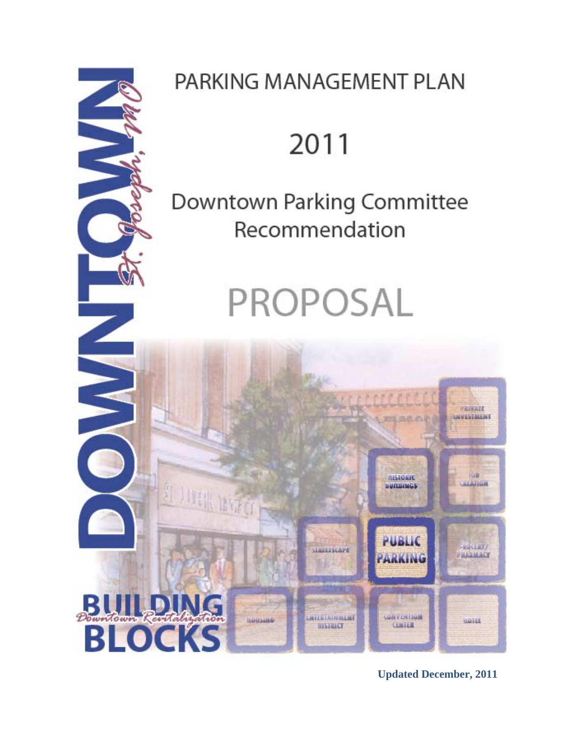

## PARKING MANAGEMENT PLAN

# 2011

## Downtown Parking Committee Recommendation

# PROPOSAL



**Updated December, 2011**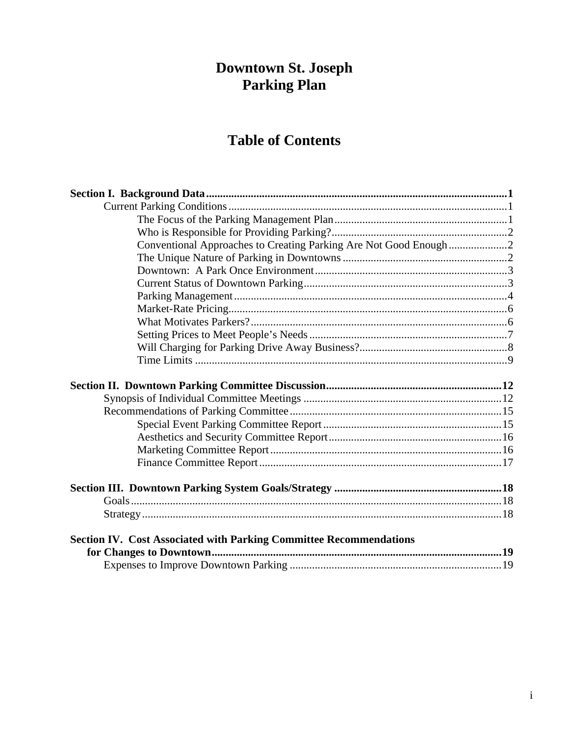# **Downtown St. Joseph<br>Parking Plan**

## **Table of Contents**

| Conventional Approaches to Creating Parking Are Not Good Enough2          |  |
|---------------------------------------------------------------------------|--|
|                                                                           |  |
|                                                                           |  |
|                                                                           |  |
|                                                                           |  |
|                                                                           |  |
|                                                                           |  |
|                                                                           |  |
|                                                                           |  |
|                                                                           |  |
|                                                                           |  |
|                                                                           |  |
|                                                                           |  |
|                                                                           |  |
|                                                                           |  |
|                                                                           |  |
|                                                                           |  |
|                                                                           |  |
|                                                                           |  |
|                                                                           |  |
|                                                                           |  |
|                                                                           |  |
|                                                                           |  |
|                                                                           |  |
| <b>Section IV. Cost Associated with Parking Committee Recommendations</b> |  |
|                                                                           |  |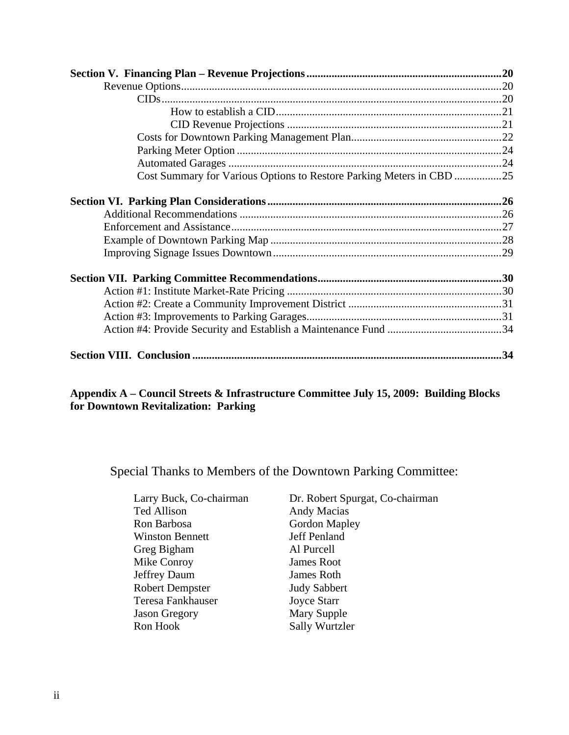| Cost Summary for Various Options to Restore Parking Meters in CBD 25 |  |
|----------------------------------------------------------------------|--|
|                                                                      |  |
|                                                                      |  |
|                                                                      |  |
|                                                                      |  |
|                                                                      |  |
|                                                                      |  |
|                                                                      |  |
|                                                                      |  |
|                                                                      |  |
|                                                                      |  |
|                                                                      |  |
|                                                                      |  |
|                                                                      |  |

#### **Appendix A – Council Streets & Infrastructure Committee July 15, 2009: Building Blocks for Downtown Revitalization: Parking**

Special Thanks to Members of the Downtown Parking Committee:

| Dr. Robert Spurgat, Co-chairman |
|---------------------------------|
| <b>Andy Macias</b>              |
| Gordon Mapley                   |
| Jeff Penland                    |
| Al Purcell                      |
| <b>James Root</b>               |
| James Roth                      |
| <b>Judy Sabbert</b>             |
| <b>Joyce Starr</b>              |
| <b>Mary Supple</b>              |
| <b>Sally Wurtzler</b>           |
|                                 |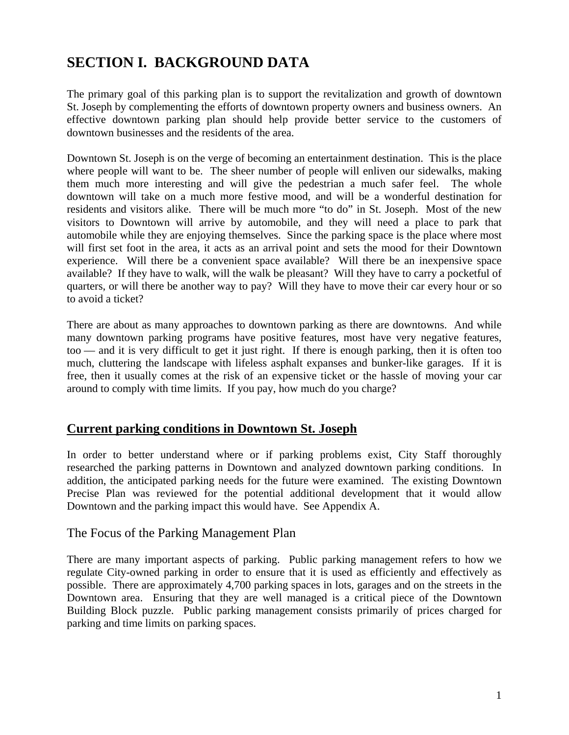## **SECTION I. BACKGROUND DATA**

The primary goal of this parking plan is to support the revitalization and growth of downtown St. Joseph by complementing the efforts of downtown property owners and business owners. An effective downtown parking plan should help provide better service to the customers of downtown businesses and the residents of the area.

Downtown St. Joseph is on the verge of becoming an entertainment destination. This is the place where people will want to be. The sheer number of people will enliven our sidewalks, making them much more interesting and will give the pedestrian a much safer feel. The whole downtown will take on a much more festive mood, and will be a wonderful destination for residents and visitors alike. There will be much more "to do" in St. Joseph. Most of the new visitors to Downtown will arrive by automobile, and they will need a place to park that automobile while they are enjoying themselves. Since the parking space is the place where most will first set foot in the area, it acts as an arrival point and sets the mood for their Downtown experience. Will there be a convenient space available? Will there be an inexpensive space available? If they have to walk, will the walk be pleasant? Will they have to carry a pocketful of quarters, or will there be another way to pay? Will they have to move their car every hour or so to avoid a ticket?

There are about as many approaches to downtown parking as there are downtowns. And while many downtown parking programs have positive features, most have very negative features, too — and it is very difficult to get it just right. If there is enough parking, then it is often too much, cluttering the landscape with lifeless asphalt expanses and bunker-like garages. If it is free, then it usually comes at the risk of an expensive ticket or the hassle of moving your car around to comply with time limits. If you pay, how much do you charge?

#### **Current parking conditions in Downtown St. Joseph**

In order to better understand where or if parking problems exist, City Staff thoroughly researched the parking patterns in Downtown and analyzed downtown parking conditions. In addition, the anticipated parking needs for the future were examined. The existing Downtown Precise Plan was reviewed for the potential additional development that it would allow Downtown and the parking impact this would have. See Appendix A.

#### The Focus of the Parking Management Plan

There are many important aspects of parking. Public parking management refers to how we regulate City-owned parking in order to ensure that it is used as efficiently and effectively as possible. There are approximately 4,700 parking spaces in lots, garages and on the streets in the Downtown area. Ensuring that they are well managed is a critical piece of the Downtown Building Block puzzle. Public parking management consists primarily of prices charged for parking and time limits on parking spaces.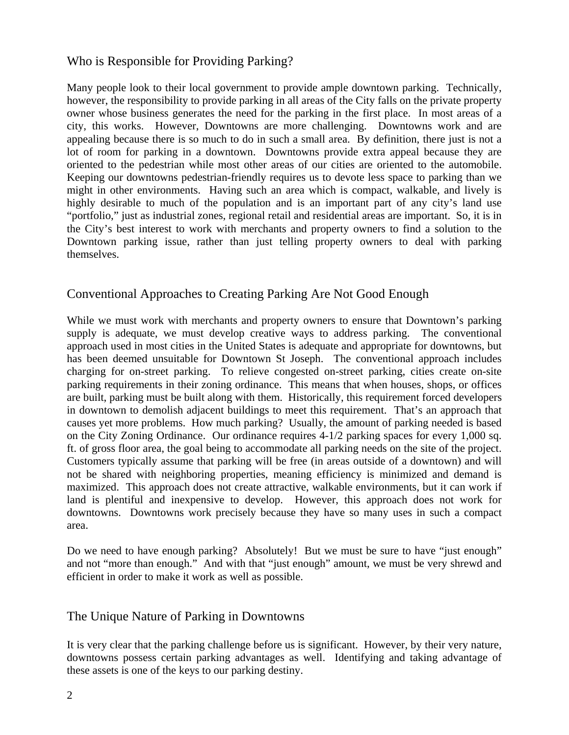#### Who is Responsible for Providing Parking?

Many people look to their local government to provide ample downtown parking. Technically, however, the responsibility to provide parking in all areas of the City falls on the private property owner whose business generates the need for the parking in the first place. In most areas of a city, this works. However, Downtowns are more challenging. Downtowns work and are appealing because there is so much to do in such a small area. By definition, there just is not a lot of room for parking in a downtown. Downtowns provide extra appeal because they are oriented to the pedestrian while most other areas of our cities are oriented to the automobile. Keeping our downtowns pedestrian-friendly requires us to devote less space to parking than we might in other environments. Having such an area which is compact, walkable, and lively is highly desirable to much of the population and is an important part of any city's land use "portfolio," just as industrial zones, regional retail and residential areas are important. So, it is in the City's best interest to work with merchants and property owners to find a solution to the Downtown parking issue, rather than just telling property owners to deal with parking themselves.

#### Conventional Approaches to Creating Parking Are Not Good Enough

While we must work with merchants and property owners to ensure that Downtown's parking supply is adequate, we must develop creative ways to address parking. The conventional approach used in most cities in the United States is adequate and appropriate for downtowns, but has been deemed unsuitable for Downtown St Joseph. The conventional approach includes charging for on-street parking. To relieve congested on-street parking, cities create on-site parking requirements in their zoning ordinance. This means that when houses, shops, or offices are built, parking must be built along with them. Historically, this requirement forced developers in downtown to demolish adjacent buildings to meet this requirement. That's an approach that causes yet more problems. How much parking? Usually, the amount of parking needed is based on the City Zoning Ordinance. Our ordinance requires 4-1/2 parking spaces for every 1,000 sq. ft. of gross floor area, the goal being to accommodate all parking needs on the site of the project. Customers typically assume that parking will be free (in areas outside of a downtown) and will not be shared with neighboring properties, meaning efficiency is minimized and demand is maximized. This approach does not create attractive, walkable environments, but it can work if land is plentiful and inexpensive to develop. However, this approach does not work for downtowns. Downtowns work precisely because they have so many uses in such a compact area.

Do we need to have enough parking? Absolutely! But we must be sure to have "just enough" and not "more than enough." And with that "just enough" amount, we must be very shrewd and efficient in order to make it work as well as possible.

#### The Unique Nature of Parking in Downtowns

It is very clear that the parking challenge before us is significant. However, by their very nature, downtowns possess certain parking advantages as well. Identifying and taking advantage of these assets is one of the keys to our parking destiny.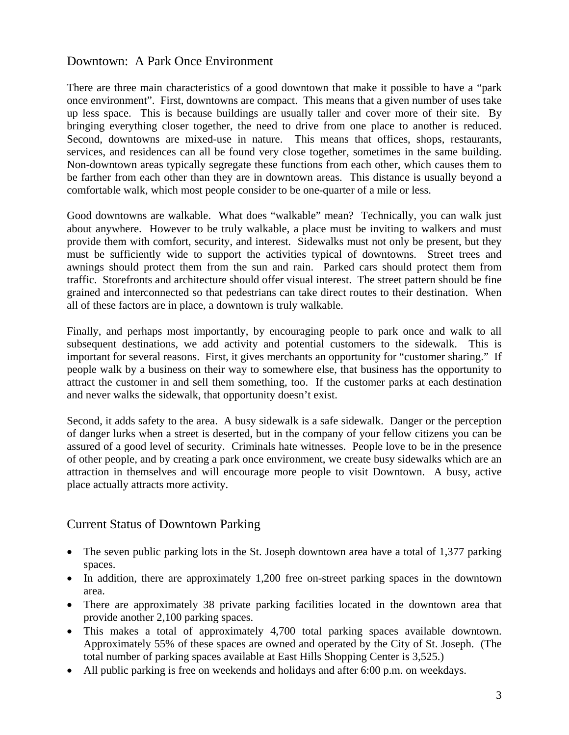#### Downtown: A Park Once Environment

There are three main characteristics of a good downtown that make it possible to have a "park once environment". First, downtowns are compact. This means that a given number of uses take up less space. This is because buildings are usually taller and cover more of their site. By bringing everything closer together, the need to drive from one place to another is reduced. Second, downtowns are mixed-use in nature. This means that offices, shops, restaurants, services, and residences can all be found very close together, sometimes in the same building. Non-downtown areas typically segregate these functions from each other, which causes them to be farther from each other than they are in downtown areas. This distance is usually beyond a comfortable walk, which most people consider to be one-quarter of a mile or less.

Good downtowns are walkable. What does "walkable" mean? Technically, you can walk just about anywhere. However to be truly walkable, a place must be inviting to walkers and must provide them with comfort, security, and interest. Sidewalks must not only be present, but they must be sufficiently wide to support the activities typical of downtowns. Street trees and awnings should protect them from the sun and rain. Parked cars should protect them from traffic. Storefronts and architecture should offer visual interest. The street pattern should be fine grained and interconnected so that pedestrians can take direct routes to their destination. When all of these factors are in place, a downtown is truly walkable.

Finally, and perhaps most importantly, by encouraging people to park once and walk to all subsequent destinations, we add activity and potential customers to the sidewalk. This is important for several reasons. First, it gives merchants an opportunity for "customer sharing." If people walk by a business on their way to somewhere else, that business has the opportunity to attract the customer in and sell them something, too. If the customer parks at each destination and never walks the sidewalk, that opportunity doesn't exist.

Second, it adds safety to the area. A busy sidewalk is a safe sidewalk. Danger or the perception of danger lurks when a street is deserted, but in the company of your fellow citizens you can be assured of a good level of security. Criminals hate witnesses. People love to be in the presence of other people, and by creating a park once environment, we create busy sidewalks which are an attraction in themselves and will encourage more people to visit Downtown. A busy, active place actually attracts more activity.

#### Current Status of Downtown Parking

- The seven public parking lots in the St. Joseph downtown area have a total of 1,377 parking spaces.
- In addition, there are approximately 1,200 free on-street parking spaces in the downtown area.
- There are approximately 38 private parking facilities located in the downtown area that provide another 2,100 parking spaces.
- This makes a total of approximately 4,700 total parking spaces available downtown. Approximately 55% of these spaces are owned and operated by the City of St. Joseph. (The total number of parking spaces available at East Hills Shopping Center is 3,525.)
- All public parking is free on weekends and holidays and after 6:00 p.m. on weekdays.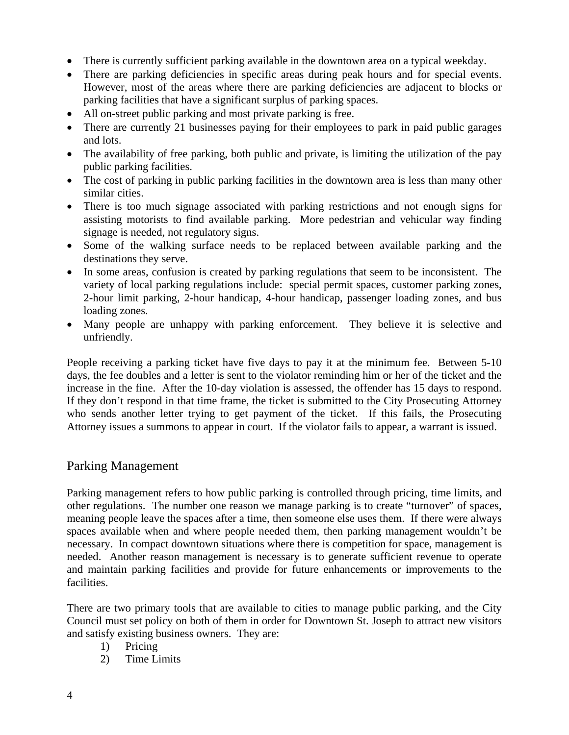- There is currently sufficient parking available in the downtown area on a typical weekday.
- There are parking deficiencies in specific areas during peak hours and for special events. However, most of the areas where there are parking deficiencies are adjacent to blocks or parking facilities that have a significant surplus of parking spaces.
- All on-street public parking and most private parking is free.
- There are currently 21 businesses paying for their employees to park in paid public garages and lots.
- The availability of free parking, both public and private, is limiting the utilization of the pay public parking facilities.
- The cost of parking in public parking facilities in the downtown area is less than many other similar cities.
- There is too much signage associated with parking restrictions and not enough signs for assisting motorists to find available parking. More pedestrian and vehicular way finding signage is needed, not regulatory signs.
- Some of the walking surface needs to be replaced between available parking and the destinations they serve.
- In some areas, confusion is created by parking regulations that seem to be inconsistent. The variety of local parking regulations include: special permit spaces, customer parking zones, 2-hour limit parking, 2-hour handicap, 4-hour handicap, passenger loading zones, and bus loading zones.
- Many people are unhappy with parking enforcement. They believe it is selective and unfriendly.

People receiving a parking ticket have five days to pay it at the minimum fee. Between 5-10 days, the fee doubles and a letter is sent to the violator reminding him or her of the ticket and the increase in the fine. After the 10-day violation is assessed, the offender has 15 days to respond. If they don't respond in that time frame, the ticket is submitted to the City Prosecuting Attorney who sends another letter trying to get payment of the ticket. If this fails, the Prosecuting Attorney issues a summons to appear in court. If the violator fails to appear, a warrant is issued.

#### Parking Management

Parking management refers to how public parking is controlled through pricing, time limits, and other regulations. The number one reason we manage parking is to create "turnover" of spaces, meaning people leave the spaces after a time, then someone else uses them. If there were always spaces available when and where people needed them, then parking management wouldn't be necessary. In compact downtown situations where there is competition for space, management is needed. Another reason management is necessary is to generate sufficient revenue to operate and maintain parking facilities and provide for future enhancements or improvements to the facilities.

There are two primary tools that are available to cities to manage public parking, and the City Council must set policy on both of them in order for Downtown St. Joseph to attract new visitors and satisfy existing business owners. They are:

- 1) Pricing
- 2) Time Limits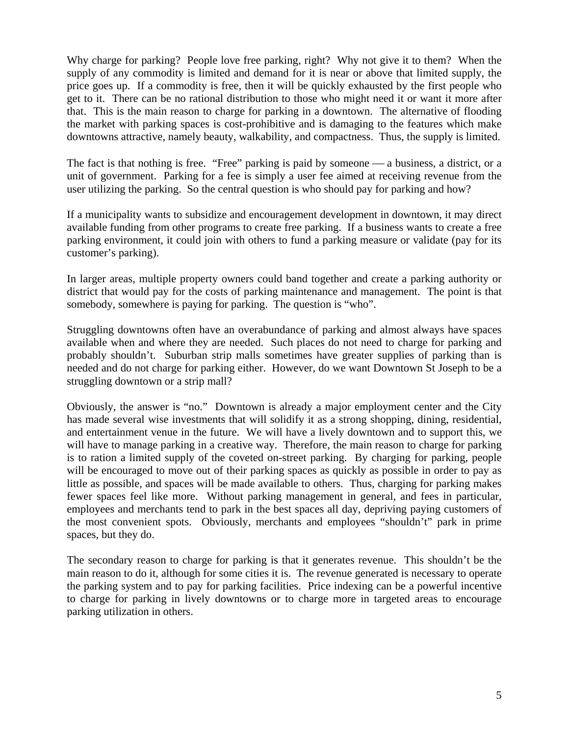Why charge for parking? People love free parking, right? Why not give it to them? When the supply of any commodity is limited and demand for it is near or above that limited supply, the price goes up. If a commodity is free, then it will be quickly exhausted by the first people who get to it. There can be no rational distribution to those who might need it or want it more after that. This is the main reason to charge for parking in a downtown. The alternative of flooding the market with parking spaces is cost-prohibitive and is damaging to the features which make downtowns attractive, namely beauty, walkability, and compactness. Thus, the supply is limited.

The fact is that nothing is free. "Free" parking is paid by some one  $\_\_a$  business, a district, or a unit of government. Parking for a fee is simply a user fee aimed at receiving revenue from the user utilizing the parking. So the central question is who should pay for parking and how?

If a municipality wants to subsidize and encouragement development in downtown, it may direct available funding from other programs to create free parking. If a business wants to create a free parking environment, it could join with others to fund a parking measure or validate (pay for its customer's parking).

In larger areas, multiple property owners could band together and create a parking authority or district that would pay for the costs of parking maintenance and management. The point is that somebody, somewhere is paying for parking. The question is "who".

Struggling downtowns often have an overabundance of parking and almost always have spaces available when and where they are needed. Such places do not need to charge for parking and probably shouldn't. Suburban strip malls sometimes have greater supplies of parking than is needed and do not charge for parking either. However, do we want Downtown St Joseph to be a struggling downtown or a strip mall?

Obviously, the answer is "no." Downtown is already a major employment center and the City has made several wise investments that will solidify it as a strong shopping, dining, residential, and entertainment venue in the future. We will have a lively downtown and to support this, we will have to manage parking in a creative way. Therefore, the main reason to charge for parking is to ration a limited supply of the coveted on-street parking. By charging for parking, people will be encouraged to move out of their parking spaces as quickly as possible in order to pay as little as possible, and spaces will be made available to others. Thus, charging for parking makes fewer spaces feel like more. Without parking management in general, and fees in particular, employees and merchants tend to park in the best spaces all day, depriving paying customers of the most convenient spots. Obviously, merchants and employees "shouldn't" park in prime spaces, but they do.

The secondary reason to charge for parking is that it generates revenue. This shouldn't be the main reason to do it, although for some cities it is. The revenue generated is necessary to operate the parking system and to pay for parking facilities. Price indexing can be a powerful incentive to charge for parking in lively downtowns or to charge more in targeted areas to encourage parking utilization in others.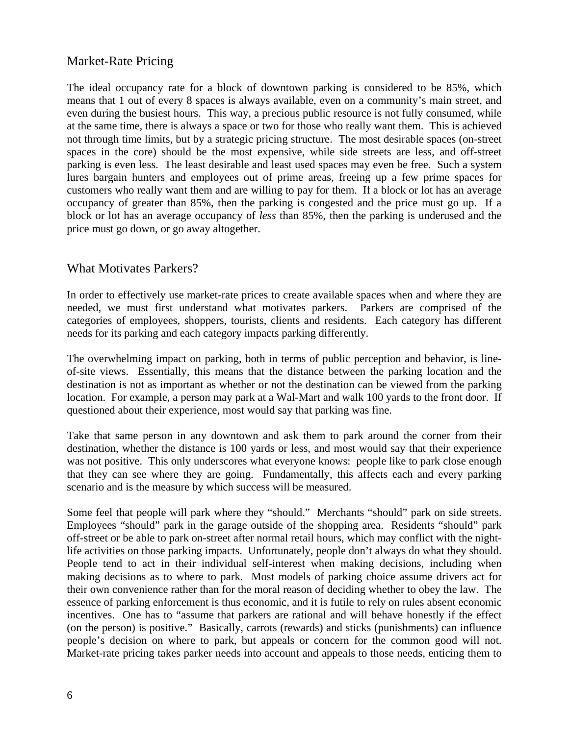#### Market-Rate Pricing

The ideal occupancy rate for a block of downtown parking is considered to be 85%, which means that 1 out of every 8 spaces is always available, even on a community's main street, and even during the busiest hours. This way, a precious public resource is not fully consumed, while at the same time, there is always a space or two for those who really want them. This is achieved not through time limits, but by a strategic pricing structure. The most desirable spaces (on-street spaces in the core) should be the most expensive, while side streets are less, and off-street parking is even less. The least desirable and least used spaces may even be free. Such a system lures bargain hunters and employees out of prime areas, freeing up a few prime spaces for customers who really want them and are willing to pay for them. If a block or lot has an average occupancy of greater than 85%, then the parking is congested and the price must go up. If a block or lot has an average occupancy of *less* than 85%, then the parking is underused and the price must go down, or go away altogether.

#### What Motivates Parkers?

In order to effectively use market-rate prices to create available spaces when and where they are needed, we must first understand what motivates parkers. Parkers are comprised of the categories of employees, shoppers, tourists, clients and residents. Each category has different needs for its parking and each category impacts parking differently.

The overwhelming impact on parking, both in terms of public perception and behavior, is lineof-site views. Essentially, this means that the distance between the parking location and the destination is not as important as whether or not the destination can be viewed from the parking location. For example, a person may park at a Wal-Mart and walk 100 yards to the front door. If questioned about their experience, most would say that parking was fine.

Take that same person in any downtown and ask them to park around the corner from their destination, whether the distance is 100 yards or less, and most would say that their experience was not positive. This only underscores what everyone knows: people like to park close enough that they can see where they are going. Fundamentally, this affects each and every parking scenario and is the measure by which success will be measured.

Some feel that people will park where they "should." Merchants "should" park on side streets. Employees "should" park in the garage outside of the shopping area. Residents "should" park off-street or be able to park on-street after normal retail hours, which may conflict with the nightlife activities on those parking impacts. Unfortunately, people don't always do what they should. People tend to act in their individual self-interest when making decisions, including when making decisions as to where to park. Most models of parking choice assume drivers act for their own convenience rather than for the moral reason of deciding whether to obey the law. The essence of parking enforcement is thus economic, and it is futile to rely on rules absent economic incentives. One has to "assume that parkers are rational and will behave honestly if the effect (on the person) is positive." Basically, carrots (rewards) and sticks (punishments) can influence people's decision on where to park, but appeals or concern for the common good will not. Market-rate pricing takes parker needs into account and appeals to those needs, enticing them to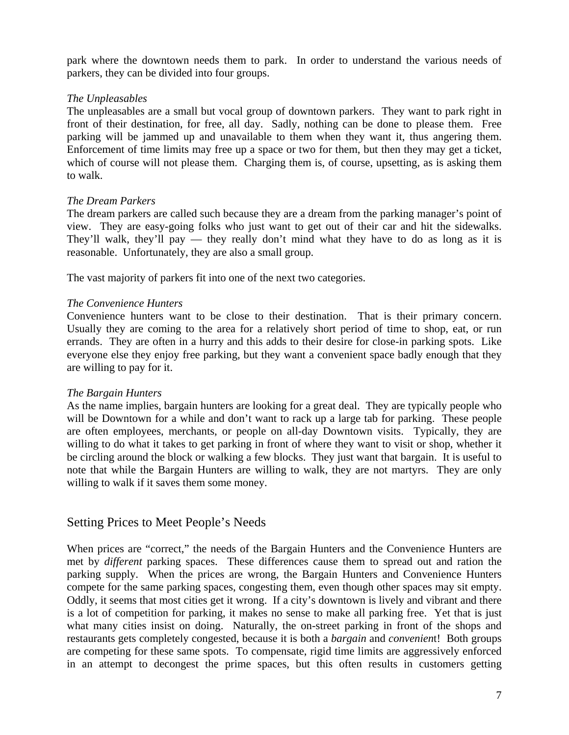park where the downtown needs them to park. In order to understand the various needs of parkers, they can be divided into four groups.

#### *The Unpleasables*

The unpleasables are a small but vocal group of downtown parkers. They want to park right in front of their destination, for free, all day. Sadly, nothing can be done to please them. Free parking will be jammed up and unavailable to them when they want it, thus angering them. Enforcement of time limits may free up a space or two for them, but then they may get a ticket, which of course will not please them. Charging them is, of course, upsetting, as is asking them to walk.

#### *The Dream Parkers*

The dream parkers are called such because they are a dream from the parking manager's point of view. They are easy-going folks who just want to get out of their car and hit the sidewalks. They'll walk, they'll pay — they really don't mind what they have to do as long as it is reasonable. Unfortunately, they are also a small group.

The vast majority of parkers fit into one of the next two categories.

#### *The Convenience Hunters*

Convenience hunters want to be close to their destination. That is their primary concern. Usually they are coming to the area for a relatively short period of time to shop, eat, or run errands. They are often in a hurry and this adds to their desire for close-in parking spots. Like everyone else they enjoy free parking, but they want a convenient space badly enough that they are willing to pay for it.

#### *The Bargain Hunters*

As the name implies, bargain hunters are looking for a great deal. They are typically people who will be Downtown for a while and don't want to rack up a large tab for parking. These people are often employees, merchants, or people on all-day Downtown visits. Typically, they are willing to do what it takes to get parking in front of where they want to visit or shop, whether it be circling around the block or walking a few blocks. They just want that bargain. It is useful to note that while the Bargain Hunters are willing to walk, they are not martyrs. They are only willing to walk if it saves them some money.

#### Setting Prices to Meet People's Needs

When prices are "correct," the needs of the Bargain Hunters and the Convenience Hunters are met by *different* parking spaces. These differences cause them to spread out and ration the parking supply. When the prices are wrong, the Bargain Hunters and Convenience Hunters compete for the same parking spaces, congesting them, even though other spaces may sit empty. Oddly, it seems that most cities get it wrong. If a city's downtown is lively and vibrant and there is a lot of competition for parking, it makes no sense to make all parking free. Yet that is just what many cities insist on doing. Naturally, the on-street parking in front of the shops and restaurants gets completely congested, because it is both a *bargain* and *convenien*t! Both groups are competing for these same spots. To compensate, rigid time limits are aggressively enforced in an attempt to decongest the prime spaces, but this often results in customers getting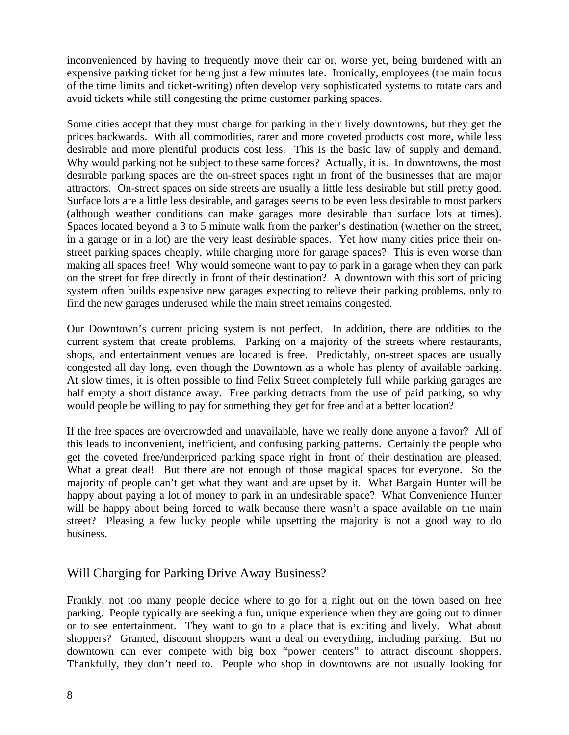inconvenienced by having to frequently move their car or, worse yet, being burdened with an expensive parking ticket for being just a few minutes late. Ironically, employees (the main focus of the time limits and ticket-writing) often develop very sophisticated systems to rotate cars and avoid tickets while still congesting the prime customer parking spaces.

Some cities accept that they must charge for parking in their lively downtowns, but they get the prices backwards. With all commodities, rarer and more coveted products cost more, while less desirable and more plentiful products cost less. This is the basic law of supply and demand. Why would parking not be subject to these same forces? Actually, it is. In downtowns, the most desirable parking spaces are the on-street spaces right in front of the businesses that are major attractors. On-street spaces on side streets are usually a little less desirable but still pretty good. Surface lots are a little less desirable, and garages seems to be even less desirable to most parkers (although weather conditions can make garages more desirable than surface lots at times). Spaces located beyond a 3 to 5 minute walk from the parker's destination (whether on the street, in a garage or in a lot) are the very least desirable spaces. Yet how many cities price their onstreet parking spaces cheaply, while charging more for garage spaces? This is even worse than making all spaces free! Why would someone want to pay to park in a garage when they can park on the street for free directly in front of their destination? A downtown with this sort of pricing system often builds expensive new garages expecting to relieve their parking problems, only to find the new garages underused while the main street remains congested.

Our Downtown's current pricing system is not perfect. In addition, there are oddities to the current system that create problems. Parking on a majority of the streets where restaurants, shops, and entertainment venues are located is free. Predictably, on-street spaces are usually congested all day long, even though the Downtown as a whole has plenty of available parking. At slow times, it is often possible to find Felix Street completely full while parking garages are half empty a short distance away. Free parking detracts from the use of paid parking, so why would people be willing to pay for something they get for free and at a better location?

If the free spaces are overcrowded and unavailable, have we really done anyone a favor? All of this leads to inconvenient, inefficient, and confusing parking patterns. Certainly the people who get the coveted free/underpriced parking space right in front of their destination are pleased. What a great deal! But there are not enough of those magical spaces for everyone. So the majority of people can't get what they want and are upset by it. What Bargain Hunter will be happy about paying a lot of money to park in an undesirable space? What Convenience Hunter will be happy about being forced to walk because there wasn't a space available on the main street? Pleasing a few lucky people while upsetting the majority is not a good way to do business.

#### Will Charging for Parking Drive Away Business?

Frankly, not too many people decide where to go for a night out on the town based on free parking. People typically are seeking a fun, unique experience when they are going out to dinner or to see entertainment. They want to go to a place that is exciting and lively. What about shoppers? Granted, discount shoppers want a deal on everything, including parking. But no downtown can ever compete with big box "power centers" to attract discount shoppers. Thankfully, they don't need to. People who shop in downtowns are not usually looking for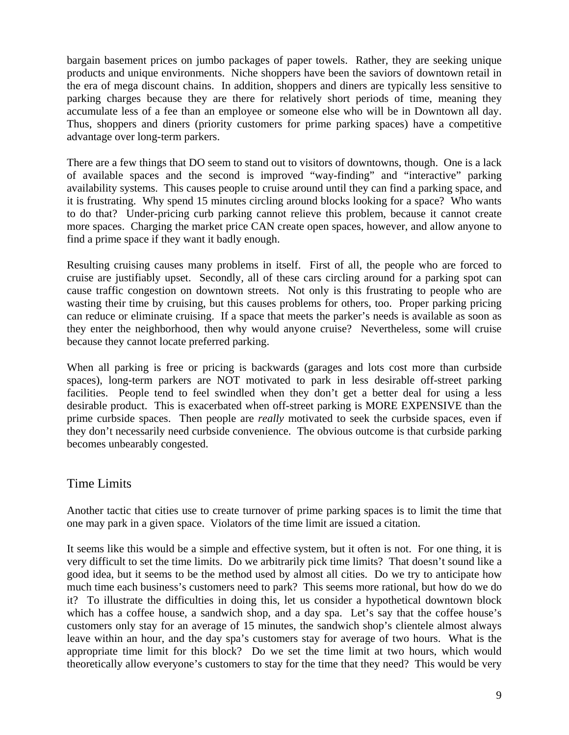bargain basement prices on jumbo packages of paper towels. Rather, they are seeking unique products and unique environments. Niche shoppers have been the saviors of downtown retail in the era of mega discount chains. In addition, shoppers and diners are typically less sensitive to parking charges because they are there for relatively short periods of time, meaning they accumulate less of a fee than an employee or someone else who will be in Downtown all day. Thus, shoppers and diners (priority customers for prime parking spaces) have a competitive advantage over long-term parkers.

There are a few things that DO seem to stand out to visitors of downtowns, though. One is a lack of available spaces and the second is improved "way-finding" and "interactive" parking availability systems. This causes people to cruise around until they can find a parking space, and it is frustrating. Why spend 15 minutes circling around blocks looking for a space? Who wants to do that? Under-pricing curb parking cannot relieve this problem, because it cannot create more spaces. Charging the market price CAN create open spaces, however, and allow anyone to find a prime space if they want it badly enough.

Resulting cruising causes many problems in itself. First of all, the people who are forced to cruise are justifiably upset. Secondly, all of these cars circling around for a parking spot can cause traffic congestion on downtown streets. Not only is this frustrating to people who are wasting their time by cruising, but this causes problems for others, too. Proper parking pricing can reduce or eliminate cruising. If a space that meets the parker's needs is available as soon as they enter the neighborhood, then why would anyone cruise? Nevertheless, some will cruise because they cannot locate preferred parking.

When all parking is free or pricing is backwards (garages and lots cost more than curbside spaces), long-term parkers are NOT motivated to park in less desirable off-street parking facilities. People tend to feel swindled when they don't get a better deal for using a less desirable product. This is exacerbated when off-street parking is MORE EXPENSIVE than the prime curbside spaces. Then people are *really* motivated to seek the curbside spaces, even if they don't necessarily need curbside convenience. The obvious outcome is that curbside parking becomes unbearably congested.

#### Time Limits

Another tactic that cities use to create turnover of prime parking spaces is to limit the time that one may park in a given space. Violators of the time limit are issued a citation.

It seems like this would be a simple and effective system, but it often is not. For one thing, it is very difficult to set the time limits. Do we arbitrarily pick time limits? That doesn't sound like a good idea, but it seems to be the method used by almost all cities. Do we try to anticipate how much time each business's customers need to park? This seems more rational, but how do we do it? To illustrate the difficulties in doing this, let us consider a hypothetical downtown block which has a coffee house, a sandwich shop, and a day spa. Let's say that the coffee house's customers only stay for an average of 15 minutes, the sandwich shop's clientele almost always leave within an hour, and the day spa's customers stay for average of two hours. What is the appropriate time limit for this block? Do we set the time limit at two hours, which would theoretically allow everyone's customers to stay for the time that they need? This would be very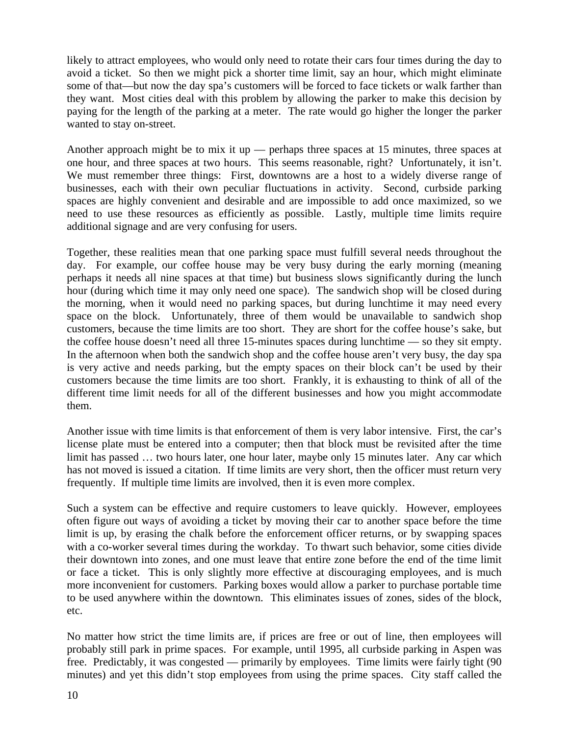likely to attract employees, who would only need to rotate their cars four times during the day to avoid a ticket. So then we might pick a shorter time limit, say an hour, which might eliminate some of that—but now the day spa's customers will be forced to face tickets or walk farther than they want. Most cities deal with this problem by allowing the parker to make this decision by paying for the length of the parking at a meter. The rate would go higher the longer the parker wanted to stay on-street.

Another approach might be to mix it up — perhaps three spaces at 15 minutes, three spaces at one hour, and three spaces at two hours. This seems reasonable, right? Unfortunately, it isn't. We must remember three things: First, downtowns are a host to a widely diverse range of businesses, each with their own peculiar fluctuations in activity. Second, curbside parking spaces are highly convenient and desirable and are impossible to add once maximized, so we need to use these resources as efficiently as possible. Lastly, multiple time limits require additional signage and are very confusing for users.

Together, these realities mean that one parking space must fulfill several needs throughout the day. For example, our coffee house may be very busy during the early morning (meaning perhaps it needs all nine spaces at that time) but business slows significantly during the lunch hour (during which time it may only need one space). The sandwich shop will be closed during the morning, when it would need no parking spaces, but during lunchtime it may need every space on the block. Unfortunately, three of them would be unavailable to sandwich shop customers, because the time limits are too short. They are short for the coffee house's sake, but the coffee house doesn't need all three 15-minutes spaces during lunchtime — so they sit empty. In the afternoon when both the sandwich shop and the coffee house aren't very busy, the day spa is very active and needs parking, but the empty spaces on their block can't be used by their customers because the time limits are too short. Frankly, it is exhausting to think of all of the different time limit needs for all of the different businesses and how you might accommodate them.

Another issue with time limits is that enforcement of them is very labor intensive. First, the car's license plate must be entered into a computer; then that block must be revisited after the time limit has passed ... two hours later, one hour later, maybe only 15 minutes later. Any car which has not moved is issued a citation. If time limits are very short, then the officer must return very frequently. If multiple time limits are involved, then it is even more complex.

Such a system can be effective and require customers to leave quickly. However, employees often figure out ways of avoiding a ticket by moving their car to another space before the time limit is up, by erasing the chalk before the enforcement officer returns, or by swapping spaces with a co-worker several times during the workday. To thwart such behavior, some cities divide their downtown into zones, and one must leave that entire zone before the end of the time limit or face a ticket. This is only slightly more effective at discouraging employees, and is much more inconvenient for customers. Parking boxes would allow a parker to purchase portable time to be used anywhere within the downtown. This eliminates issues of zones, sides of the block, etc.

No matter how strict the time limits are, if prices are free or out of line, then employees will probably still park in prime spaces. For example, until 1995, all curbside parking in Aspen was free. Predictably, it was congested — primarily by employees. Time limits were fairly tight (90 minutes) and yet this didn't stop employees from using the prime spaces. City staff called the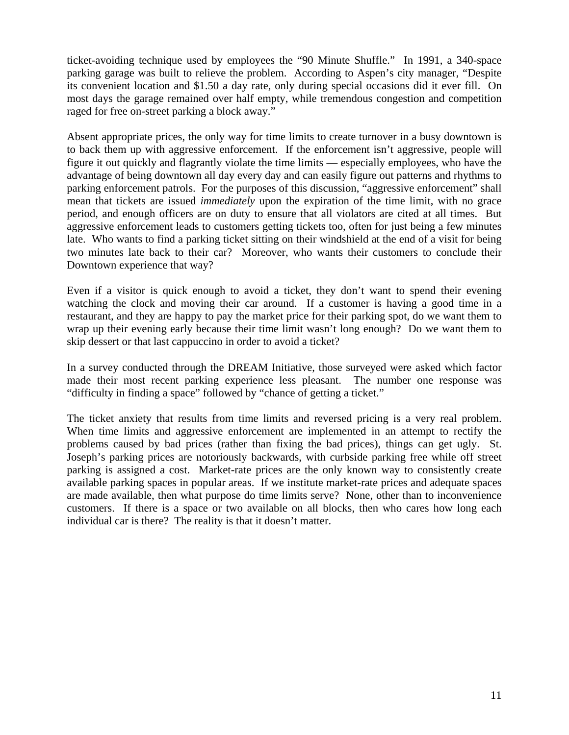ticket-avoiding technique used by employees the "90 Minute Shuffle." In 1991, a 340-space parking garage was built to relieve the problem. According to Aspen's city manager, "Despite its convenient location and \$1.50 a day rate, only during special occasions did it ever fill. On most days the garage remained over half empty, while tremendous congestion and competition raged for free on-street parking a block away."

Absent appropriate prices, the only way for time limits to create turnover in a busy downtown is to back them up with aggressive enforcement. If the enforcement isn't aggressive, people will figure it out quickly and flagrantly violate the time limits — especially employees, who have the advantage of being downtown all day every day and can easily figure out patterns and rhythms to parking enforcement patrols. For the purposes of this discussion, "aggressive enforcement" shall mean that tickets are issued *immediately* upon the expiration of the time limit, with no grace period, and enough officers are on duty to ensure that all violators are cited at all times. But aggressive enforcement leads to customers getting tickets too, often for just being a few minutes late. Who wants to find a parking ticket sitting on their windshield at the end of a visit for being two minutes late back to their car? Moreover, who wants their customers to conclude their Downtown experience that way?

Even if a visitor is quick enough to avoid a ticket, they don't want to spend their evening watching the clock and moving their car around. If a customer is having a good time in a restaurant, and they are happy to pay the market price for their parking spot, do we want them to wrap up their evening early because their time limit wasn't long enough? Do we want them to skip dessert or that last cappuccino in order to avoid a ticket?

In a survey conducted through the DREAM Initiative, those surveyed were asked which factor made their most recent parking experience less pleasant. The number one response was "difficulty in finding a space" followed by "chance of getting a ticket."

The ticket anxiety that results from time limits and reversed pricing is a very real problem. When time limits and aggressive enforcement are implemented in an attempt to rectify the problems caused by bad prices (rather than fixing the bad prices), things can get ugly. St. Joseph's parking prices are notoriously backwards, with curbside parking free while off street parking is assigned a cost. Market-rate prices are the only known way to consistently create available parking spaces in popular areas. If we institute market-rate prices and adequate spaces are made available, then what purpose do time limits serve? None, other than to inconvenience customers. If there is a space or two available on all blocks, then who cares how long each individual car is there? The reality is that it doesn't matter.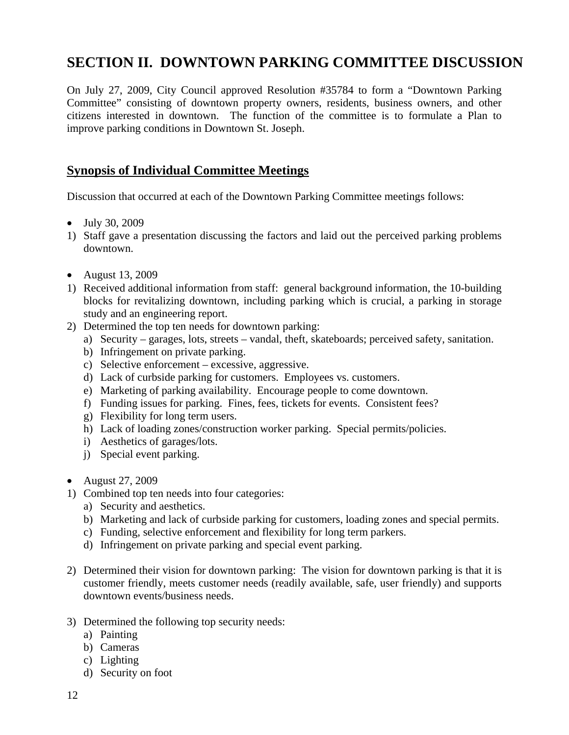## **SECTION II. DOWNTOWN PARKING COMMITTEE DISCUSSION**

On July 27, 2009, City Council approved Resolution #35784 to form a "Downtown Parking Committee" consisting of downtown property owners, residents, business owners, and other citizens interested in downtown. The function of the committee is to formulate a Plan to improve parking conditions in Downtown St. Joseph.

#### **Synopsis of Individual Committee Meetings**

Discussion that occurred at each of the Downtown Parking Committee meetings follows:

- July 30, 2009
- 1) Staff gave a presentation discussing the factors and laid out the perceived parking problems downtown.
- August 13, 2009
- 1) Received additional information from staff: general background information, the 10-building blocks for revitalizing downtown, including parking which is crucial, a parking in storage study and an engineering report.
- 2) Determined the top ten needs for downtown parking:
	- a) Security garages, lots, streets vandal, theft, skateboards; perceived safety, sanitation.
	- b) Infringement on private parking.
	- c) Selective enforcement excessive, aggressive.
	- d) Lack of curbside parking for customers. Employees vs. customers.
	- e) Marketing of parking availability. Encourage people to come downtown.
	- f) Funding issues for parking. Fines, fees, tickets for events. Consistent fees?
	- g) Flexibility for long term users.
	- h) Lack of loading zones/construction worker parking. Special permits/policies.
	- i) Aesthetics of garages/lots.
	- j) Special event parking.
- August 27, 2009
- 1) Combined top ten needs into four categories:
	- a) Security and aesthetics.
	- b) Marketing and lack of curbside parking for customers, loading zones and special permits.
	- c) Funding, selective enforcement and flexibility for long term parkers.
	- d) Infringement on private parking and special event parking.
- 2) Determined their vision for downtown parking: The vision for downtown parking is that it is customer friendly, meets customer needs (readily available, safe, user friendly) and supports downtown events/business needs.
- 3) Determined the following top security needs:
	- a) Painting
	- b) Cameras
	- c) Lighting
	- d) Security on foot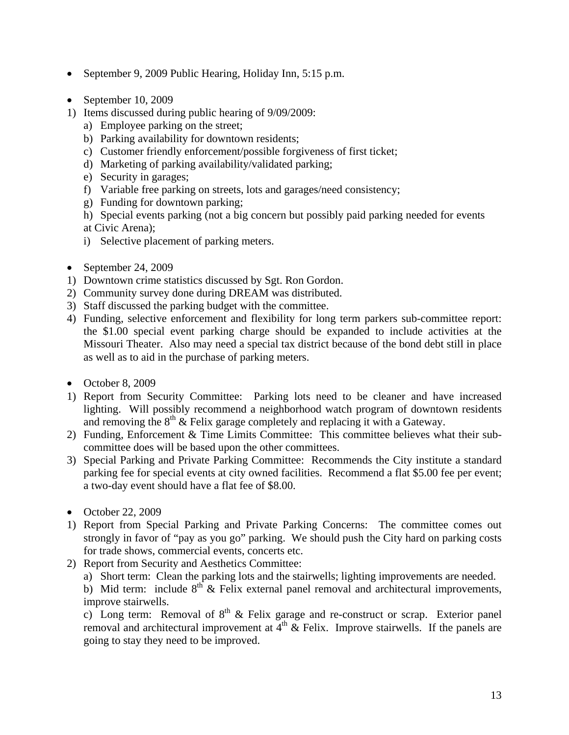- September 9, 2009 Public Hearing, Holiday Inn, 5:15 p.m.
- $\bullet$  September 10, 2009
- 1) Items discussed during public hearing of 9/09/2009:
	- a) Employee parking on the street;
	- b) Parking availability for downtown residents;
	- c) Customer friendly enforcement/possible forgiveness of first ticket;
	- d) Marketing of parking availability/validated parking;
	- e) Security in garages;
	- f) Variable free parking on streets, lots and garages/need consistency;
	- g) Funding for downtown parking;
	- h) Special events parking (not a big concern but possibly paid parking needed for events at Civic Arena);
	- i) Selective placement of parking meters.
- $\bullet$  September 24, 2009
- 1) Downtown crime statistics discussed by Sgt. Ron Gordon.
- 2) Community survey done during DREAM was distributed.
- 3) Staff discussed the parking budget with the committee.
- 4) Funding, selective enforcement and flexibility for long term parkers sub-committee report: the \$1.00 special event parking charge should be expanded to include activities at the Missouri Theater. Also may need a special tax district because of the bond debt still in place as well as to aid in the purchase of parking meters.
- $\bullet$  October 8, 2009
- 1) Report from Security Committee: Parking lots need to be cleaner and have increased lighting. Will possibly recommend a neighborhood watch program of downtown residents and removing the  $8<sup>th</sup>$  & Felix garage completely and replacing it with a Gateway.
- 2) Funding, Enforcement & Time Limits Committee: This committee believes what their subcommittee does will be based upon the other committees.
- 3) Special Parking and Private Parking Committee: Recommends the City institute a standard parking fee for special events at city owned facilities. Recommend a flat \$5.00 fee per event; a two-day event should have a flat fee of \$8.00.
- October 22, 2009
- 1) Report from Special Parking and Private Parking Concerns: The committee comes out strongly in favor of "pay as you go" parking. We should push the City hard on parking costs for trade shows, commercial events, concerts etc.
- 2) Report from Security and Aesthetics Committee:
	- a) Short term: Clean the parking lots and the stairwells; lighting improvements are needed.

b) Mid term: include  $8<sup>th</sup>$  & Felix external panel removal and architectural improvements, improve stairwells.

c) Long term: Removal of  $8<sup>th</sup>$  & Felix garage and re-construct or scrap. Exterior panel removal and architectural improvement at  $4<sup>th</sup>$  & Felix. Improve stairwells. If the panels are going to stay they need to be improved.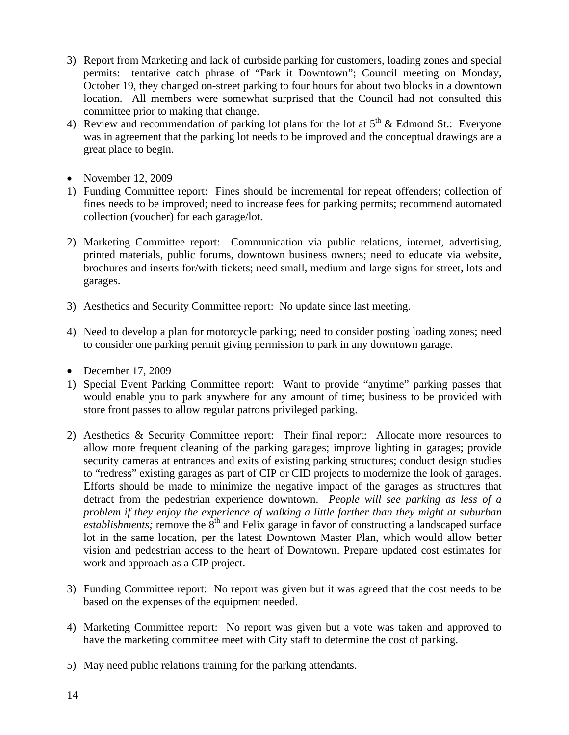- 3) Report from Marketing and lack of curbside parking for customers, loading zones and special permits: tentative catch phrase of "Park it Downtown"; Council meeting on Monday, October 19, they changed on-street parking to four hours for about two blocks in a downtown location. All members were somewhat surprised that the Council had not consulted this committee prior to making that change.
- 4) Review and recommendation of parking lot plans for the lot at  $5<sup>th</sup>$  & Edmond St.: Everyone was in agreement that the parking lot needs to be improved and the conceptual drawings are a great place to begin.
- November  $12, 2009$
- 1) Funding Committee report: Fines should be incremental for repeat offenders; collection of fines needs to be improved; need to increase fees for parking permits; recommend automated collection (voucher) for each garage/lot.
- 2) Marketing Committee report: Communication via public relations, internet, advertising, printed materials, public forums, downtown business owners; need to educate via website, brochures and inserts for/with tickets; need small, medium and large signs for street, lots and garages.
- 3) Aesthetics and Security Committee report: No update since last meeting.
- 4) Need to develop a plan for motorcycle parking; need to consider posting loading zones; need to consider one parking permit giving permission to park in any downtown garage.
- $\bullet$  December 17, 2009
- 1) Special Event Parking Committee report: Want to provide "anytime" parking passes that would enable you to park anywhere for any amount of time; business to be provided with store front passes to allow regular patrons privileged parking.
- 2) Aesthetics & Security Committee report: Their final report: Allocate more resources to allow more frequent cleaning of the parking garages; improve lighting in garages; provide security cameras at entrances and exits of existing parking structures; conduct design studies to "redress" existing garages as part of CIP or CID projects to modernize the look of garages. Efforts should be made to minimize the negative impact of the garages as structures that detract from the pedestrian experience downtown. *People will see parking as less of a problem if they enjoy the experience of walking a little farther than they might at suburban*   $\vec{e}$  *establishments;* remove the  $\hat{8}$ <sup>th</sup> and Felix garage in favor of constructing a landscaped surface lot in the same location, per the latest Downtown Master Plan, which would allow better vision and pedestrian access to the heart of Downtown. Prepare updated cost estimates for work and approach as a CIP project.
- 3) Funding Committee report: No report was given but it was agreed that the cost needs to be based on the expenses of the equipment needed.
- 4) Marketing Committee report: No report was given but a vote was taken and approved to have the marketing committee meet with City staff to determine the cost of parking.
- 5) May need public relations training for the parking attendants.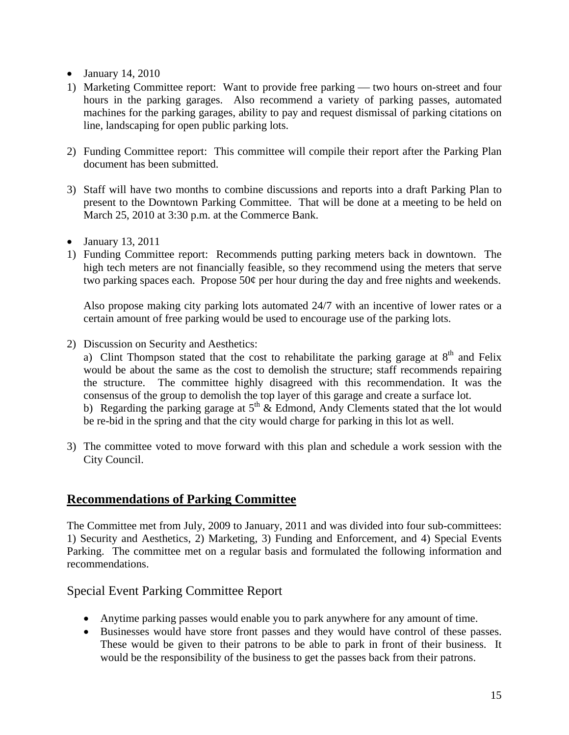- $\bullet$  January 14, 2010
- 1) Marketing Committee report: Want to provide free parking two hours on-street and four hours in the parking garages. Also recommend a variety of parking passes, automated machines for the parking garages, ability to pay and request dismissal of parking citations on line, landscaping for open public parking lots.
- 2) Funding Committee report: This committee will compile their report after the Parking Plan document has been submitted.
- 3) Staff will have two months to combine discussions and reports into a draft Parking Plan to present to the Downtown Parking Committee. That will be done at a meeting to be held on March 25, 2010 at 3:30 p.m. at the Commerce Bank.
- $\bullet$  January 13, 2011
- 1) Funding Committee report: Recommends putting parking meters back in downtown. The high tech meters are not financially feasible, so they recommend using the meters that serve two parking spaces each. Propose  $50¢$  per hour during the day and free nights and weekends.

 Also propose making city parking lots automated 24/7 with an incentive of lower rates or a certain amount of free parking would be used to encourage use of the parking lots.

2) Discussion on Security and Aesthetics:

a) Clint Thompson stated that the cost to rehabilitate the parking garage at  $8<sup>th</sup>$  and Felix would be about the same as the cost to demolish the structure; staff recommends repairing the structure. The committee highly disagreed with this recommendation. It was the consensus of the group to demolish the top layer of this garage and create a surface lot. b) Regarding the parking garage at  $5<sup>th</sup>$  & Edmond, Andy Clements stated that the lot would be re-bid in the spring and that the city would charge for parking in this lot as well.

3) The committee voted to move forward with this plan and schedule a work session with the City Council.

#### **Recommendations of Parking Committee**

The Committee met from July, 2009 to January, 2011 and was divided into four sub-committees: 1) Security and Aesthetics, 2) Marketing, 3) Funding and Enforcement, and 4) Special Events Parking. The committee met on a regular basis and formulated the following information and recommendations.

#### Special Event Parking Committee Report

- Anytime parking passes would enable you to park anywhere for any amount of time.
- Businesses would have store front passes and they would have control of these passes. These would be given to their patrons to be able to park in front of their business. It would be the responsibility of the business to get the passes back from their patrons.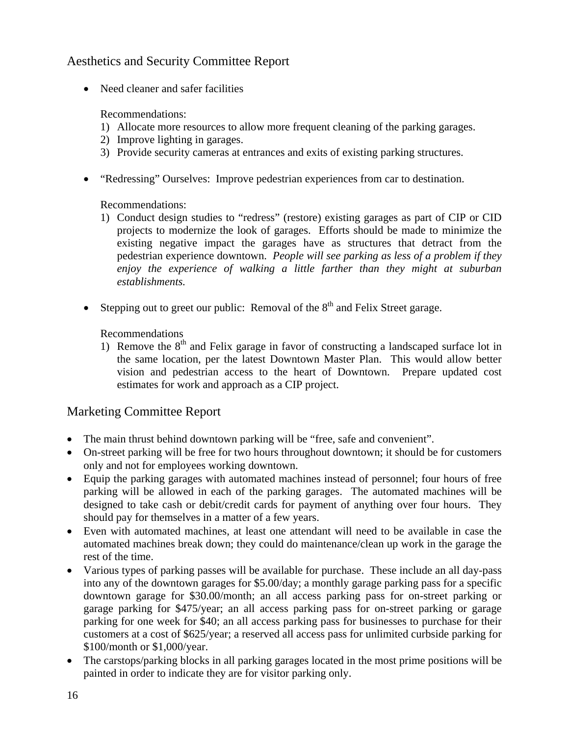#### Aesthetics and Security Committee Report

• Need cleaner and safer facilities

#### Recommendations:

- 1) Allocate more resources to allow more frequent cleaning of the parking garages.
- 2) Improve lighting in garages.
- 3) Provide security cameras at entrances and exits of existing parking structures.
- "Redressing" Ourselves: Improve pedestrian experiences from car to destination.

#### Recommendations:

- 1) Conduct design studies to "redress" (restore) existing garages as part of CIP or CID projects to modernize the look of garages. Efforts should be made to minimize the existing negative impact the garages have as structures that detract from the pedestrian experience downtown. *People will see parking as less of a problem if they enjoy the experience of walking a little farther than they might at suburban establishments.*
- Stepping out to greet our public: Removal of the  $8<sup>th</sup>$  and Felix Street garage.

#### Recommendations

1) Remove the  $8<sup>th</sup>$  and Felix garage in favor of constructing a landscaped surface lot in the same location, per the latest Downtown Master Plan. This would allow better vision and pedestrian access to the heart of Downtown. Prepare updated cost estimates for work and approach as a CIP project.

#### Marketing Committee Report

- The main thrust behind downtown parking will be "free, safe and convenient".
- On-street parking will be free for two hours throughout downtown; it should be for customers only and not for employees working downtown.
- Equip the parking garages with automated machines instead of personnel; four hours of free parking will be allowed in each of the parking garages. The automated machines will be designed to take cash or debit/credit cards for payment of anything over four hours. They should pay for themselves in a matter of a few years.
- Even with automated machines, at least one attendant will need to be available in case the automated machines break down; they could do maintenance/clean up work in the garage the rest of the time.
- Various types of parking passes will be available for purchase. These include an all day-pass into any of the downtown garages for \$5.00/day; a monthly garage parking pass for a specific downtown garage for \$30.00/month; an all access parking pass for on-street parking or garage parking for \$475/year; an all access parking pass for on-street parking or garage parking for one week for \$40; an all access parking pass for businesses to purchase for their customers at a cost of \$625/year; a reserved all access pass for unlimited curbside parking for \$100/month or \$1,000/year.
- The carstops/parking blocks in all parking garages located in the most prime positions will be painted in order to indicate they are for visitor parking only.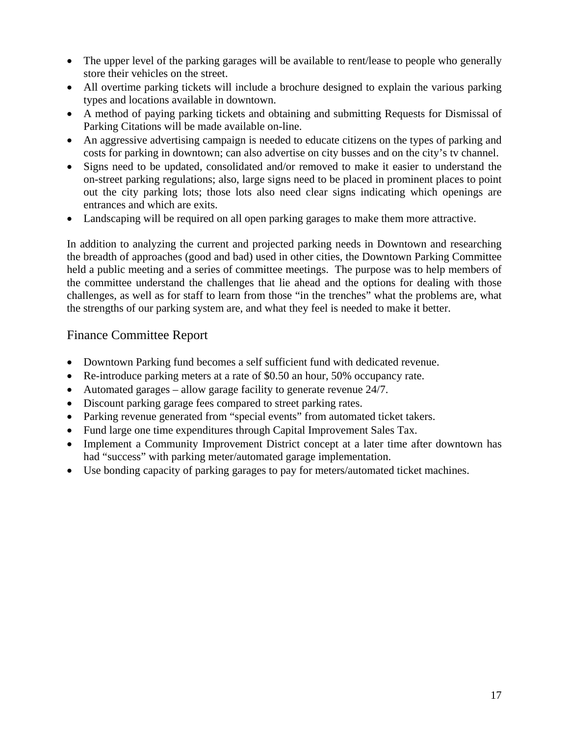- The upper level of the parking garages will be available to rent/lease to people who generally store their vehicles on the street.
- All overtime parking tickets will include a brochure designed to explain the various parking types and locations available in downtown.
- A method of paying parking tickets and obtaining and submitting Requests for Dismissal of Parking Citations will be made available on-line.
- An aggressive advertising campaign is needed to educate citizens on the types of parking and costs for parking in downtown; can also advertise on city busses and on the city's tv channel.
- Signs need to be updated, consolidated and/or removed to make it easier to understand the on-street parking regulations; also, large signs need to be placed in prominent places to point out the city parking lots; those lots also need clear signs indicating which openings are entrances and which are exits.
- Landscaping will be required on all open parking garages to make them more attractive.

In addition to analyzing the current and projected parking needs in Downtown and researching the breadth of approaches (good and bad) used in other cities, the Downtown Parking Committee held a public meeting and a series of committee meetings. The purpose was to help members of the committee understand the challenges that lie ahead and the options for dealing with those challenges, as well as for staff to learn from those "in the trenches" what the problems are, what the strengths of our parking system are, and what they feel is needed to make it better.

#### Finance Committee Report

- Downtown Parking fund becomes a self sufficient fund with dedicated revenue.
- Re-introduce parking meters at a rate of \$0.50 an hour, 50% occupancy rate.
- Automated garages allow garage facility to generate revenue 24/7.
- Discount parking garage fees compared to street parking rates.
- Parking revenue generated from "special events" from automated ticket takers.
- Fund large one time expenditures through Capital Improvement Sales Tax.
- Implement a Community Improvement District concept at a later time after downtown has had "success" with parking meter/automated garage implementation.
- Use bonding capacity of parking garages to pay for meters/automated ticket machines.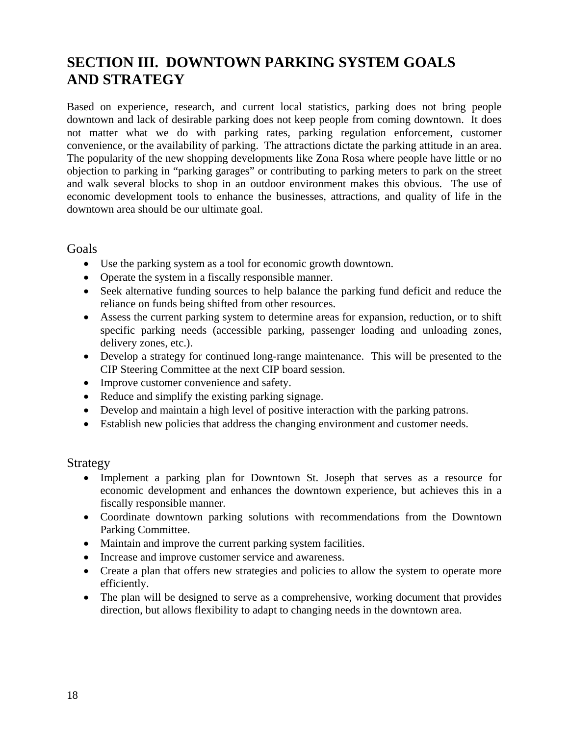## **SECTION III. DOWNTOWN PARKING SYSTEM GOALS AND STRATEGY**

Based on experience, research, and current local statistics, parking does not bring people downtown and lack of desirable parking does not keep people from coming downtown. It does not matter what we do with parking rates, parking regulation enforcement, customer convenience, or the availability of parking. The attractions dictate the parking attitude in an area. The popularity of the new shopping developments like Zona Rosa where people have little or no objection to parking in "parking garages" or contributing to parking meters to park on the street and walk several blocks to shop in an outdoor environment makes this obvious. The use of economic development tools to enhance the businesses, attractions, and quality of life in the downtown area should be our ultimate goal.

Goals

- Use the parking system as a tool for economic growth downtown.
- Operate the system in a fiscally responsible manner.
- Seek alternative funding sources to help balance the parking fund deficit and reduce the reliance on funds being shifted from other resources.
- Assess the current parking system to determine areas for expansion, reduction, or to shift specific parking needs (accessible parking, passenger loading and unloading zones, delivery zones, etc.).
- Develop a strategy for continued long-range maintenance. This will be presented to the CIP Steering Committee at the next CIP board session.
- Improve customer convenience and safety.
- Reduce and simplify the existing parking signage.
- Develop and maintain a high level of positive interaction with the parking patrons.
- Establish new policies that address the changing environment and customer needs.

#### Strategy

- Implement a parking plan for Downtown St. Joseph that serves as a resource for economic development and enhances the downtown experience, but achieves this in a fiscally responsible manner.
- Coordinate downtown parking solutions with recommendations from the Downtown Parking Committee.
- Maintain and improve the current parking system facilities.
- Increase and improve customer service and awareness.
- Create a plan that offers new strategies and policies to allow the system to operate more efficiently.
- The plan will be designed to serve as a comprehensive, working document that provides direction, but allows flexibility to adapt to changing needs in the downtown area.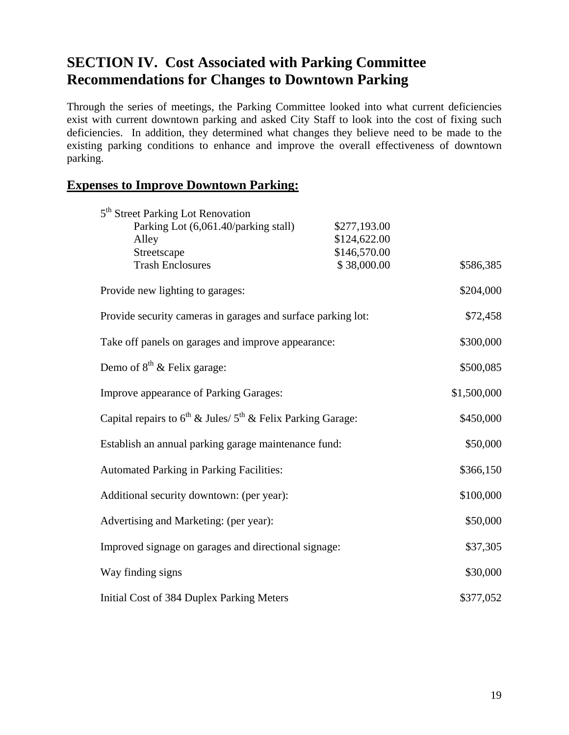## **SECTION IV. Cost Associated with Parking Committee Recommendations for Changes to Downtown Parking**

Through the series of meetings, the Parking Committee looked into what current deficiencies exist with current downtown parking and asked City Staff to look into the cost of fixing such deficiencies. In addition, they determined what changes they believe need to be made to the existing parking conditions to enhance and improve the overall effectiveness of downtown parking.

#### **Expenses to Improve Downtown Parking:**

| 5 <sup>th</sup> Street Parking Lot Renovation<br>Parking Lot (6,061.40/parking stall) | \$277,193.00 |             |
|---------------------------------------------------------------------------------------|--------------|-------------|
| Alley                                                                                 | \$124,622.00 |             |
| Streetscape                                                                           | \$146,570.00 |             |
| <b>Trash Enclosures</b>                                                               | \$38,000.00  | \$586,385   |
| Provide new lighting to garages:                                                      |              | \$204,000   |
| Provide security cameras in garages and surface parking lot:                          |              | \$72,458    |
| Take off panels on garages and improve appearance:                                    |              | \$300,000   |
| Demo of 8 <sup>th</sup> & Felix garage:                                               |              | \$500,085   |
| Improve appearance of Parking Garages:                                                |              | \$1,500,000 |
| Capital repairs to $6^{th}$ & Jules/ $5^{th}$ & Felix Parking Garage:                 |              | \$450,000   |
| Establish an annual parking garage maintenance fund:                                  |              | \$50,000    |
| <b>Automated Parking in Parking Facilities:</b>                                       |              | \$366,150   |
| Additional security downtown: (per year):                                             |              | \$100,000   |
| Advertising and Marketing: (per year):                                                |              | \$50,000    |
| Improved signage on garages and directional signage:                                  |              | \$37,305    |
| Way finding signs                                                                     |              | \$30,000    |
| Initial Cost of 384 Duplex Parking Meters                                             |              | \$377,052   |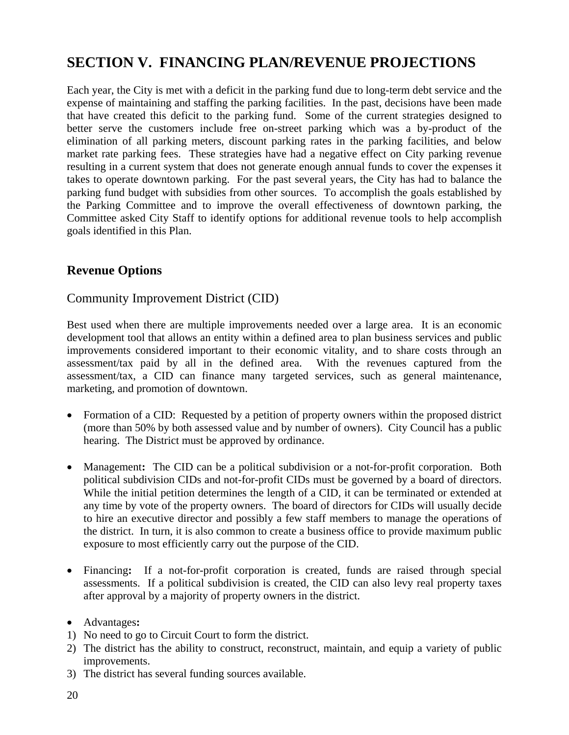## **SECTION V. FINANCING PLAN/REVENUE PROJECTIONS**

Each year, the City is met with a deficit in the parking fund due to long-term debt service and the expense of maintaining and staffing the parking facilities. In the past, decisions have been made that have created this deficit to the parking fund. Some of the current strategies designed to better serve the customers include free on-street parking which was a by-product of the elimination of all parking meters, discount parking rates in the parking facilities, and below market rate parking fees. These strategies have had a negative effect on City parking revenue resulting in a current system that does not generate enough annual funds to cover the expenses it takes to operate downtown parking. For the past several years, the City has had to balance the parking fund budget with subsidies from other sources. To accomplish the goals established by the Parking Committee and to improve the overall effectiveness of downtown parking, the Committee asked City Staff to identify options for additional revenue tools to help accomplish goals identified in this Plan.

#### **Revenue Options**

#### Community Improvement District (CID)

Best used when there are multiple improvements needed over a large area. It is an economic development tool that allows an entity within a defined area to plan business services and public improvements considered important to their economic vitality, and to share costs through an assessment/tax paid by all in the defined area. With the revenues captured from the assessment/tax, a CID can finance many targeted services, such as general maintenance, marketing, and promotion of downtown.

- Formation of a CID: Requested by a petition of property owners within the proposed district (more than 50% by both assessed value and by number of owners). City Council has a public hearing. The District must be approved by ordinance.
- Management**:** The CID can be a political subdivision or a not-for-profit corporation. Both political subdivision CIDs and not-for-profit CIDs must be governed by a board of directors. While the initial petition determines the length of a CID, it can be terminated or extended at any time by vote of the property owners. The board of directors for CIDs will usually decide to hire an executive director and possibly a few staff members to manage the operations of the district. In turn, it is also common to create a business office to provide maximum public exposure to most efficiently carry out the purpose of the CID.
- Financing**:** If a not-for-profit corporation is created, funds are raised through special assessments. If a political subdivision is created, the CID can also levy real property taxes after approval by a majority of property owners in the district.
- Advantages**:**
- 1) No need to go to Circuit Court to form the district.
- 2) The district has the ability to construct, reconstruct, maintain, and equip a variety of public improvements.
- 3) The district has several funding sources available.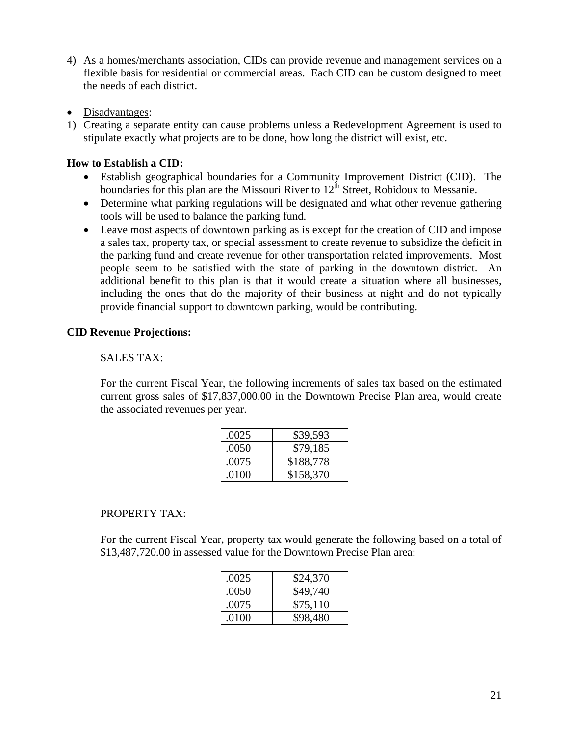- 4) As a homes/merchants association, CIDs can provide revenue and management services on a flexible basis for residential or commercial areas. Each CID can be custom designed to meet the needs of each district.
- Disadvantages:
- 1) Creating a separate entity can cause problems unless a Redevelopment Agreement is used to stipulate exactly what projects are to be done, how long the district will exist, etc.

#### **How to Establish a CID:**

- Establish geographical boundaries for a Community Improvement District (CID). The boundaries for this plan are the Missouri River to  $12<sup>th</sup>$  Street, Robidoux to Messanie.
- Determine what parking regulations will be designated and what other revenue gathering tools will be used to balance the parking fund.
- Leave most aspects of downtown parking as is except for the creation of CID and impose a sales tax, property tax, or special assessment to create revenue to subsidize the deficit in the parking fund and create revenue for other transportation related improvements. Most people seem to be satisfied with the state of parking in the downtown district. An additional benefit to this plan is that it would create a situation where all businesses, including the ones that do the majority of their business at night and do not typically provide financial support to downtown parking, would be contributing.

#### **CID Revenue Projections:**

#### SALES TAX:

For the current Fiscal Year, the following increments of sales tax based on the estimated current gross sales of \$17,837,000.00 in the Downtown Precise Plan area, would create the associated revenues per year.

| .0025 | \$39,593  |
|-------|-----------|
| .0050 | \$79,185  |
| .0075 | \$188,778 |
| .0100 | \$158,370 |

#### PROPERTY TAX:

For the current Fiscal Year, property tax would generate the following based on a total of \$13,487,720.00 in assessed value for the Downtown Precise Plan area:

| .0025 | \$24,370 |
|-------|----------|
| .0050 | \$49,740 |
| .0075 | \$75,110 |
| .0100 | \$98,480 |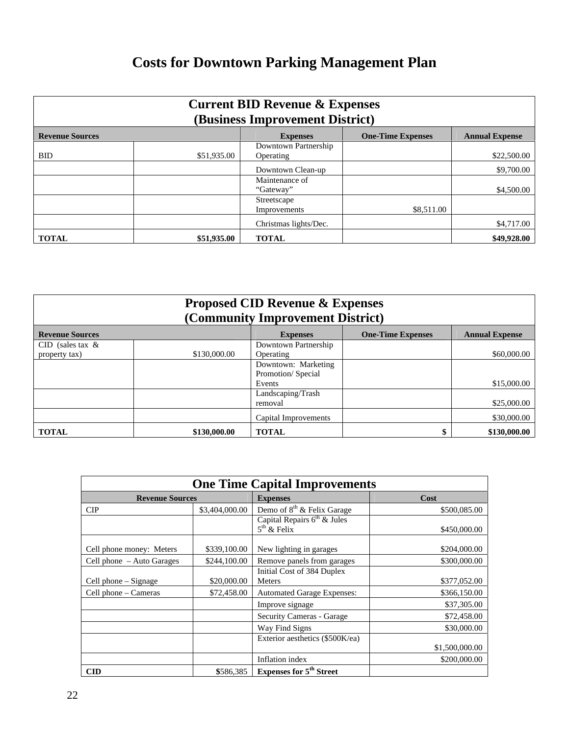## **Costs for Downtown Parking Management Plan**

| <b>Current BID Revenue &amp; Expenses</b><br>(Business Improvement District)                   |             |                       |            |             |
|------------------------------------------------------------------------------------------------|-------------|-----------------------|------------|-------------|
| <b>Revenue Sources</b><br><b>One-Time Expenses</b><br><b>Annual Expense</b><br><b>Expenses</b> |             |                       |            |             |
|                                                                                                |             | Downtown Partnership  |            |             |
| <b>BID</b>                                                                                     | \$51,935.00 | Operating             |            | \$22,500.00 |
|                                                                                                |             | Downtown Clean-up     |            | \$9,700.00  |
|                                                                                                |             | Maintenance of        |            |             |
|                                                                                                |             | "Gateway"             |            | \$4,500.00  |
|                                                                                                |             | Streetscape           |            |             |
|                                                                                                |             | Improvements          | \$8,511.00 |             |
|                                                                                                |             | Christmas lights/Dec. |            | \$4,717.00  |
| <b>TOTAL</b>                                                                                   | \$51,935.00 | <b>TOTAL</b>          |            | \$49,928.00 |

| <b>Proposed CID Revenue &amp; Expenses</b><br>(Community Improvement District) |              |                      |                          |                       |
|--------------------------------------------------------------------------------|--------------|----------------------|--------------------------|-----------------------|
| <b>Revenue Sources</b>                                                         |              | <b>Expenses</b>      | <b>One-Time Expenses</b> | <b>Annual Expense</b> |
| CID (sales tax $\&$                                                            |              | Downtown Partnership |                          |                       |
| property tax)                                                                  | \$130,000.00 | Operating            |                          | \$60,000.00           |
|                                                                                |              | Downtown: Marketing  |                          |                       |
|                                                                                |              | Promotion/Special    |                          |                       |
|                                                                                |              | Events               |                          | \$15,000.00           |
|                                                                                |              | Landscaping/Trash    |                          |                       |
|                                                                                |              | removal              |                          | \$25,000.00           |
|                                                                                |              | Capital Improvements |                          | \$30,000.00           |
| <b>TOTAL</b>                                                                   | \$130,000.00 | <b>TOTAL</b>         |                          | \$130,000.00          |

| <b>One Time Capital Improvements</b> |                |                                                |                |  |
|--------------------------------------|----------------|------------------------------------------------|----------------|--|
| <b>Revenue Sources</b>               |                | <b>Expenses</b>                                | Cost           |  |
| <b>CIP</b>                           | \$3,404,000.00 | Demo of 8 <sup>th</sup> & Felix Garage         | \$500,085.00   |  |
|                                      |                | Capital Repairs $6th$ & Jules<br>$5th$ & Felix | \$450,000.00   |  |
| Cell phone money: Meters             | \$339,100.00   | New lighting in garages                        | \$204,000.00   |  |
| Cell phone - Auto Garages            | \$244,100.00   | Remove panels from garages                     | \$300,000.00   |  |
| Cell phone – Signage                 | \$20,000.00    | Initial Cost of 384 Duplex<br><b>Meters</b>    | \$377,052.00   |  |
| Cell phone – Cameras                 | \$72,458.00    | <b>Automated Garage Expenses:</b>              | \$366,150.00   |  |
|                                      |                | Improve signage                                | \$37,305.00    |  |
|                                      |                | Security Cameras - Garage                      | \$72,458.00    |  |
|                                      |                | Way Find Signs                                 | \$30,000.00    |  |
|                                      |                | Exterior aesthetics (\$500K/ea)                | \$1,500,000.00 |  |
|                                      |                | Inflation index                                | \$200,000.00   |  |
| $\mathbf{CID}$                       | \$586,385      | <b>Expenses for 5<sup>th</sup> Street</b>      |                |  |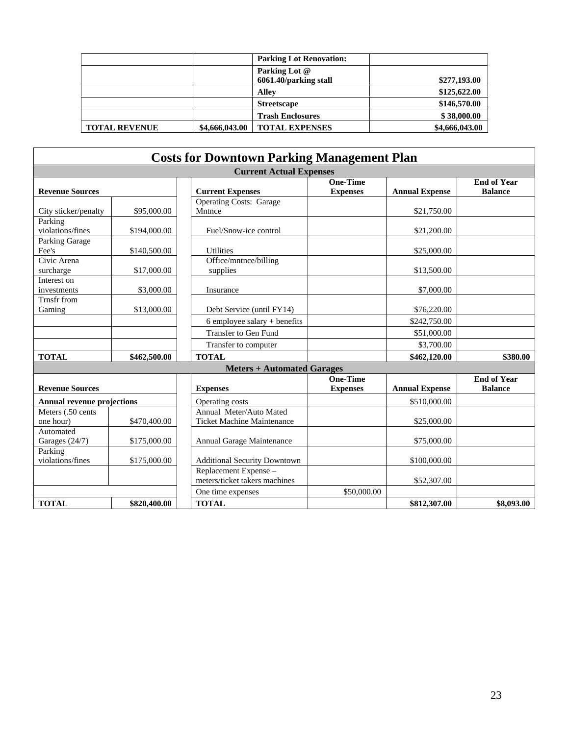|                      |                | <b>Parking Lot Renovation:</b>         |                |
|----------------------|----------------|----------------------------------------|----------------|
|                      |                | Parking Lot @<br>6061.40/parking stall | \$277,193.00   |
|                      |                | <b>Alley</b>                           | \$125,622.00   |
|                      |                | <b>Streetscape</b>                     | \$146,570.00   |
|                      |                | <b>Trash Enclosures</b>                | \$38,000.00    |
| <b>TOTAL REVENUE</b> | \$4,666,043.00 | <b>TOTAL EXPENSES</b>                  | \$4,666,043.00 |

|                                   |              | <b>Costs for Downtown Parking Management Plan</b>            |                                    |                       |                                      |
|-----------------------------------|--------------|--------------------------------------------------------------|------------------------------------|-----------------------|--------------------------------------|
|                                   |              | <b>Current Actual Expenses</b>                               |                                    |                       |                                      |
| <b>Revenue Sources</b>            |              | <b>Current Expenses</b>                                      | <b>One-Time</b><br><b>Expenses</b> | <b>Annual Expense</b> | <b>End of Year</b><br><b>Balance</b> |
| City sticker/penalty              | \$95,000.00  | <b>Operating Costs: Garage</b><br>Mntnce                     |                                    | \$21,750.00           |                                      |
| Parking<br>violations/fines       | \$194,000.00 | Fuel/Snow-ice control                                        |                                    | \$21,200.00           |                                      |
| <b>Parking Garage</b><br>Fee's    | \$140,500.00 | <b>Utilities</b>                                             |                                    | \$25,000.00           |                                      |
| Civic Arena<br>surcharge          | \$17,000.00  | Office/mntnce/billing<br>supplies                            |                                    | \$13,500.00           |                                      |
| Interest on<br>investments        | \$3,000.00   | Insurance                                                    |                                    | \$7,000.00            |                                      |
| Trnsfr from<br>Gaming             | \$13,000.00  | Debt Service (until FY14)                                    |                                    | \$76,220.00           |                                      |
|                                   |              | $6$ employee salary + benefits                               |                                    | \$242,750.00          |                                      |
|                                   |              | <b>Transfer to Gen Fund</b>                                  |                                    | \$51,000.00           |                                      |
|                                   |              | Transfer to computer                                         |                                    | \$3,700.00            |                                      |
| <b>TOTAL</b>                      | \$462,500.00 | <b>TOTAL</b>                                                 |                                    | \$462,120.00          | \$380.00                             |
|                                   |              | <b>Meters + Automated Garages</b>                            |                                    |                       |                                      |
| <b>Revenue Sources</b>            |              | <b>Expenses</b>                                              | <b>One-Time</b><br><b>Expenses</b> | <b>Annual Expense</b> | <b>End of Year</b><br><b>Balance</b> |
| <b>Annual revenue projections</b> |              | Operating costs                                              |                                    | \$510,000.00          |                                      |
| Meters (.50 cents)<br>one hour)   | \$470,400.00 | Annual Meter/Auto Mated<br><b>Ticket Machine Maintenance</b> |                                    | \$25,000.00           |                                      |
| Automated<br>Garages (24/7)       | \$175,000.00 | Annual Garage Maintenance                                    |                                    | \$75,000.00           |                                      |
| Parking<br>violations/fines       | \$175,000.00 | <b>Additional Security Downtown</b>                          |                                    | \$100,000.00          |                                      |
|                                   |              | Replacement Expense -<br>meters/ticket takers machines       |                                    | \$52,307.00           |                                      |
|                                   |              | One time expenses                                            | \$50,000.00                        |                       |                                      |
| <b>TOTAL</b>                      | \$820,400.00 | <b>TOTAL</b>                                                 |                                    | \$812,307.00          | \$8,093.00                           |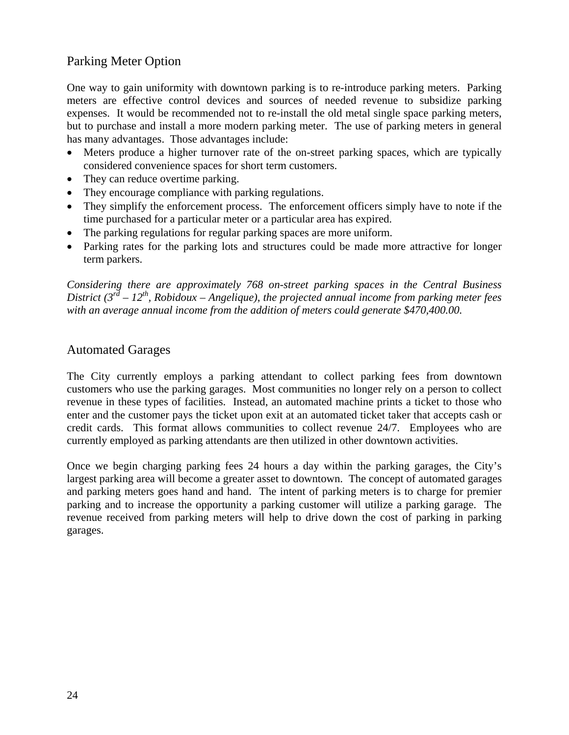#### Parking Meter Option

One way to gain uniformity with downtown parking is to re-introduce parking meters. Parking meters are effective control devices and sources of needed revenue to subsidize parking expenses. It would be recommended not to re-install the old metal single space parking meters, but to purchase and install a more modern parking meter. The use of parking meters in general has many advantages. Those advantages include:

- Meters produce a higher turnover rate of the on-street parking spaces, which are typically considered convenience spaces for short term customers.
- They can reduce overtime parking.
- They encourage compliance with parking regulations.
- They simplify the enforcement process. The enforcement officers simply have to note if the time purchased for a particular meter or a particular area has expired.
- The parking regulations for regular parking spaces are more uniform.
- Parking rates for the parking lots and structures could be made more attractive for longer term parkers.

*Considering there are approximately 768 on-street parking spaces in the Central Business District* ( $3^{rd}$  –  $12^{th}$ , Robidoux – Angelique), the projected annual income from parking meter fees *with an average annual income from the addition of meters could generate \$470,400.00.*

#### Automated Garages

The City currently employs a parking attendant to collect parking fees from downtown customers who use the parking garages. Most communities no longer rely on a person to collect revenue in these types of facilities. Instead, an automated machine prints a ticket to those who enter and the customer pays the ticket upon exit at an automated ticket taker that accepts cash or credit cards. This format allows communities to collect revenue 24/7. Employees who are currently employed as parking attendants are then utilized in other downtown activities.

Once we begin charging parking fees 24 hours a day within the parking garages, the City's largest parking area will become a greater asset to downtown. The concept of automated garages and parking meters goes hand and hand. The intent of parking meters is to charge for premier parking and to increase the opportunity a parking customer will utilize a parking garage. The revenue received from parking meters will help to drive down the cost of parking in parking garages.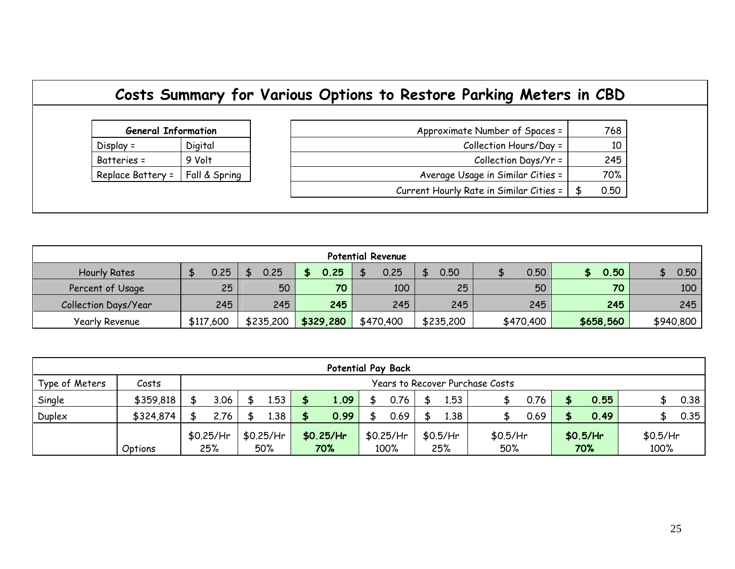## **Costs Summary for Various Options to Restore Parking Meters in CBD**

| <b>General Information</b> |               |  |  |
|----------------------------|---------------|--|--|
| $Display =$                | Digital       |  |  |
| Batteries =                | 9 Volt        |  |  |
| Replace Battery =          | Fall & Spring |  |  |

| <b>General Information</b> |               | Approximate Number of Spaces =          | 768  |
|----------------------------|---------------|-----------------------------------------|------|
| $Display =$                | Digital       | Collection Hours/Day =                  | 10   |
| Batteries =                | 9 Volt        | Collection Days/Yr =                    | 245  |
| Replace Battery $=$        | Fall & Spring | Average Usage in Similar Cities =       | 70%  |
|                            |               | Current Hourly Rate in Similar Cities = | 0.50 |

| <b>Potential Revenue</b> |           |           |           |           |           |           |           |           |  |  |  |  |  |  |
|--------------------------|-----------|-----------|-----------|-----------|-----------|-----------|-----------|-----------|--|--|--|--|--|--|
| <b>Hourly Rates</b>      | 0.25      | 0.25      | 0.25      | 0.25      | 0.50      | 0.50      | 0.50      | 0.50      |  |  |  |  |  |  |
| Percent of Usage         | 50<br>25  |           | 70        | 100       | 25        | 50        | 70        | 100       |  |  |  |  |  |  |
| Collection Days/Year     | 245       | 245       | 245       | 245       | 245       | 245       | 245       | 245       |  |  |  |  |  |  |
| Yearly Revenue           | \$117,600 | \$235,200 | \$329,280 | \$470,400 | \$235,200 | \$470,400 | \$658,560 | \$940,800 |  |  |  |  |  |  |

| <b>Potential Pay Back</b> |           |                                        |      |                          |      |     |             |      |          |     |          |     |  |          |  |          |  |      |
|---------------------------|-----------|----------------------------------------|------|--------------------------|------|-----|-------------|------|----------|-----|----------|-----|--|----------|--|----------|--|------|
| Type of Meters            | Costs     | <b>Years to Recover Purchase Costs</b> |      |                          |      |     |             |      |          |     |          |     |  |          |  |          |  |      |
| Single                    | \$359,818 |                                        | 3.06 |                          | 1.53 |     | 1.09        |      | 0.76     |     | 1.53     |     |  | 0.76     |  | 0.55     |  | 0.38 |
| Duplex                    | \$324,874 |                                        | 2.76 |                          | 1.38 |     | 0.99        |      | 0.69     |     | 1.38     |     |  | 0.69     |  | 0.49     |  | 0.35 |
|                           |           | $$0.25/$ Hr                            |      | \$0.25/Hr<br>$$0.25/$ Hr |      |     | $$0.25/$ Hr |      | \$0.5/Hr |     | \$0.5/Hr |     |  | \$0.5/Hr |  | \$0.5/Hr |  |      |
|                           | Options   | 25%                                    |      |                          | 50%  | 70% |             | 100% |          | 25% |          | 50% |  | 70%      |  | 100%     |  |      |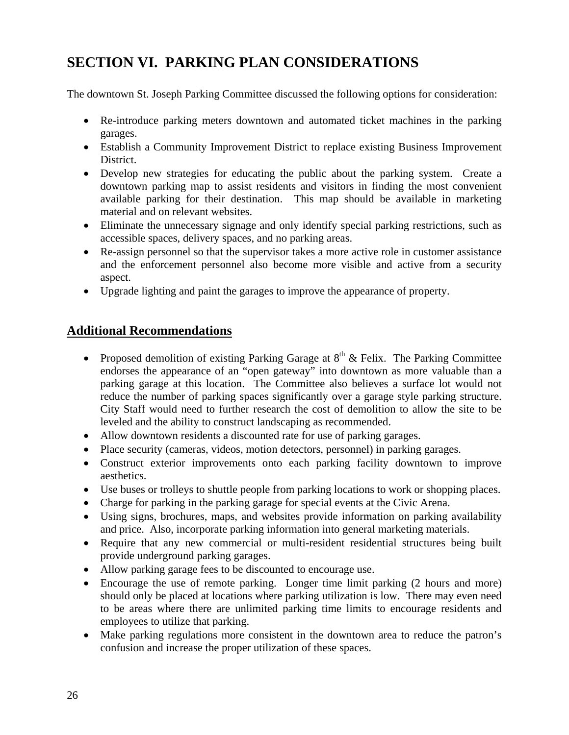## **SECTION VI. PARKING PLAN CONSIDERATIONS**

The downtown St. Joseph Parking Committee discussed the following options for consideration:

- Re-introduce parking meters downtown and automated ticket machines in the parking garages.
- Establish a Community Improvement District to replace existing Business Improvement District.
- Develop new strategies for educating the public about the parking system. Create a downtown parking map to assist residents and visitors in finding the most convenient available parking for their destination. This map should be available in marketing material and on relevant websites.
- Eliminate the unnecessary signage and only identify special parking restrictions, such as accessible spaces, delivery spaces, and no parking areas.
- Re-assign personnel so that the supervisor takes a more active role in customer assistance and the enforcement personnel also become more visible and active from a security aspect.
- Upgrade lighting and paint the garages to improve the appearance of property.

#### **Additional Recommendations**

- Proposed demolition of existing Parking Garage at  $8<sup>th</sup>$  & Felix. The Parking Committee endorses the appearance of an "open gateway" into downtown as more valuable than a parking garage at this location. The Committee also believes a surface lot would not reduce the number of parking spaces significantly over a garage style parking structure. City Staff would need to further research the cost of demolition to allow the site to be leveled and the ability to construct landscaping as recommended.
- Allow downtown residents a discounted rate for use of parking garages.
- Place security (cameras, videos, motion detectors, personnel) in parking garages.
- Construct exterior improvements onto each parking facility downtown to improve aesthetics.
- Use buses or trolleys to shuttle people from parking locations to work or shopping places.
- Charge for parking in the parking garage for special events at the Civic Arena.
- Using signs, brochures, maps, and websites provide information on parking availability and price. Also, incorporate parking information into general marketing materials.
- Require that any new commercial or multi-resident residential structures being built provide underground parking garages.
- Allow parking garage fees to be discounted to encourage use.
- Encourage the use of remote parking. Longer time limit parking (2 hours and more) should only be placed at locations where parking utilization is low. There may even need to be areas where there are unlimited parking time limits to encourage residents and employees to utilize that parking.
- Make parking regulations more consistent in the downtown area to reduce the patron's confusion and increase the proper utilization of these spaces.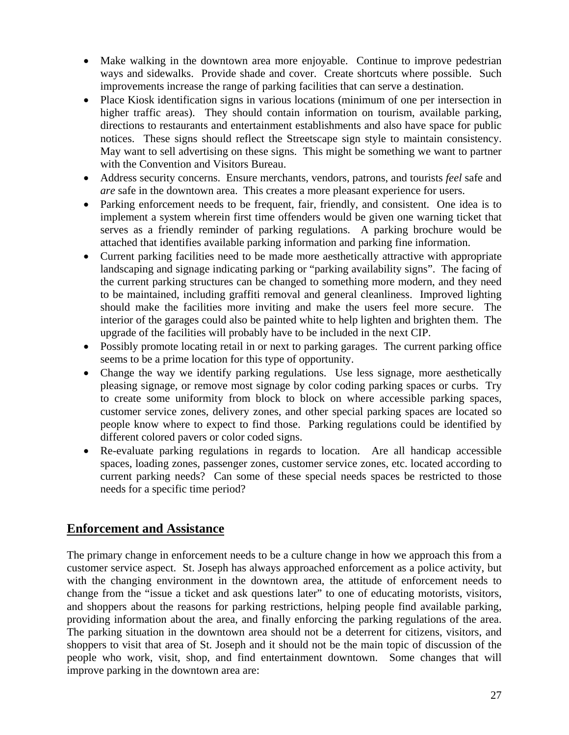- Make walking in the downtown area more enjoyable. Continue to improve pedestrian ways and sidewalks. Provide shade and cover. Create shortcuts where possible. Such improvements increase the range of parking facilities that can serve a destination.
- Place Kiosk identification signs in various locations (minimum of one per intersection in higher traffic areas). They should contain information on tourism, available parking, directions to restaurants and entertainment establishments and also have space for public notices. These signs should reflect the Streetscape sign style to maintain consistency. May want to sell advertising on these signs. This might be something we want to partner with the Convention and Visitors Bureau.
- Address security concerns. Ensure merchants, vendors, patrons, and tourists *feel* safe and *are* safe in the downtown area. This creates a more pleasant experience for users.
- Parking enforcement needs to be frequent, fair, friendly, and consistent. One idea is to implement a system wherein first time offenders would be given one warning ticket that serves as a friendly reminder of parking regulations. A parking brochure would be attached that identifies available parking information and parking fine information.
- Current parking facilities need to be made more aesthetically attractive with appropriate landscaping and signage indicating parking or "parking availability signs". The facing of the current parking structures can be changed to something more modern, and they need to be maintained, including graffiti removal and general cleanliness. Improved lighting should make the facilities more inviting and make the users feel more secure. The interior of the garages could also be painted white to help lighten and brighten them. The upgrade of the facilities will probably have to be included in the next CIP.
- Possibly promote locating retail in or next to parking garages. The current parking office seems to be a prime location for this type of opportunity.
- Change the way we identify parking regulations. Use less signage, more aesthetically pleasing signage, or remove most signage by color coding parking spaces or curbs. Try to create some uniformity from block to block on where accessible parking spaces, customer service zones, delivery zones, and other special parking spaces are located so people know where to expect to find those. Parking regulations could be identified by different colored pavers or color coded signs.
- Re-evaluate parking regulations in regards to location. Are all handicap accessible spaces, loading zones, passenger zones, customer service zones, etc. located according to current parking needs? Can some of these special needs spaces be restricted to those needs for a specific time period?

#### **Enforcement and Assistance**

The primary change in enforcement needs to be a culture change in how we approach this from a customer service aspect. St. Joseph has always approached enforcement as a police activity, but with the changing environment in the downtown area, the attitude of enforcement needs to change from the "issue a ticket and ask questions later" to one of educating motorists, visitors, and shoppers about the reasons for parking restrictions, helping people find available parking, providing information about the area, and finally enforcing the parking regulations of the area. The parking situation in the downtown area should not be a deterrent for citizens, visitors, and shoppers to visit that area of St. Joseph and it should not be the main topic of discussion of the people who work, visit, shop, and find entertainment downtown. Some changes that will improve parking in the downtown area are: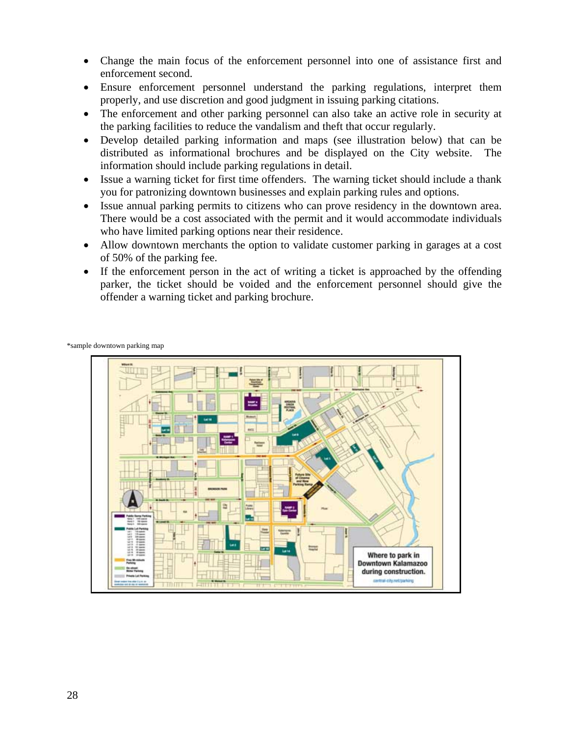- Change the main focus of the enforcement personnel into one of assistance first and enforcement second.
- Ensure enforcement personnel understand the parking regulations, interpret them properly, and use discretion and good judgment in issuing parking citations.
- The enforcement and other parking personnel can also take an active role in security at the parking facilities to reduce the vandalism and theft that occur regularly.
- Develop detailed parking information and maps (see illustration below) that can be distributed as informational brochures and be displayed on the City website. The information should include parking regulations in detail.
- Issue a warning ticket for first time offenders. The warning ticket should include a thank you for patronizing downtown businesses and explain parking rules and options.
- Issue annual parking permits to citizens who can prove residency in the downtown area. There would be a cost associated with the permit and it would accommodate individuals who have limited parking options near their residence.
- Allow downtown merchants the option to validate customer parking in garages at a cost of 50% of the parking fee.
- If the enforcement person in the act of writing a ticket is approached by the offending parker, the ticket should be voided and the enforcement personnel should give the offender a warning ticket and parking brochure.

\*sample downtown parking map

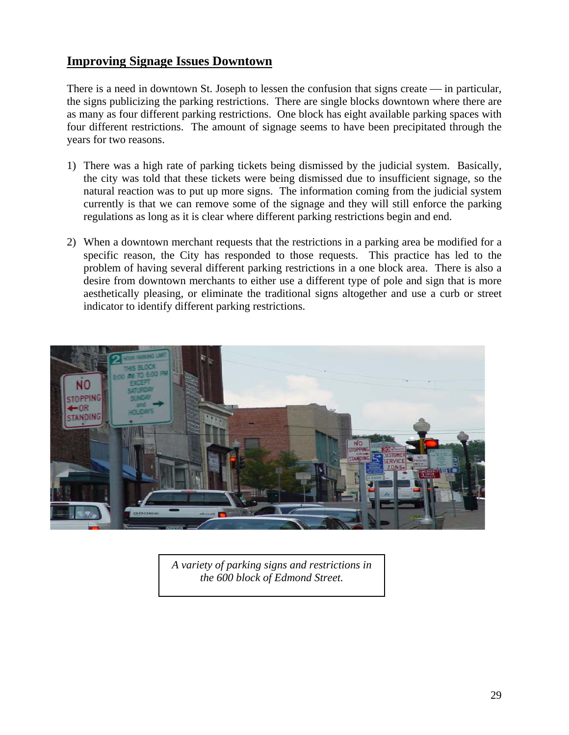#### **Improving Signage Issues Downtown**

There is a need in downtown St. Joseph to lessen the confusion that signs create — in particular, the signs publicizing the parking restrictions. There are single blocks downtown where there are as many as four different parking restrictions. One block has eight available parking spaces with four different restrictions. The amount of signage seems to have been precipitated through the years for two reasons.

- 1) There was a high rate of parking tickets being dismissed by the judicial system. Basically, the city was told that these tickets were being dismissed due to insufficient signage, so the natural reaction was to put up more signs. The information coming from the judicial system currently is that we can remove some of the signage and they will still enforce the parking regulations as long as it is clear where different parking restrictions begin and end.
- 2) When a downtown merchant requests that the restrictions in a parking area be modified for a specific reason, the City has responded to those requests. This practice has led to the problem of having several different parking restrictions in a one block area. There is also a desire from downtown merchants to either use a different type of pole and sign that is more aesthetically pleasing, or eliminate the traditional signs altogether and use a curb or street indicator to identify different parking restrictions.



*A variety of parking signs and restrictions in the 600 block of Edmond Street.*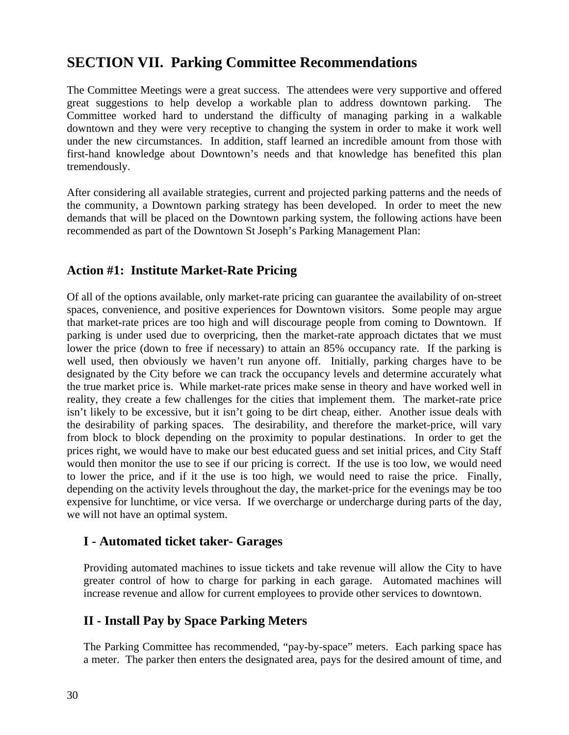### **SECTION VII. Parking Committee Recommendations**

The Committee Meetings were a great success. The attendees were very supportive and offered great suggestions to help develop a workable plan to address downtown parking. The Committee worked hard to understand the difficulty of managing parking in a walkable downtown and they were very receptive to changing the system in order to make it work well under the new circumstances. In addition, staff learned an incredible amount from those with first-hand knowledge about Downtown's needs and that knowledge has benefited this plan tremendously.

After considering all available strategies, current and projected parking patterns and the needs of the community, a Downtown parking strategy has been developed. In order to meet the new demands that will be placed on the Downtown parking system, the following actions have been recommended as part of the Downtown St Joseph's Parking Management Plan:

#### **Action #1: Institute Market-Rate Pricing**

Of all of the options available, only market-rate pricing can guarantee the availability of on-street spaces, convenience, and positive experiences for Downtown visitors. Some people may argue that market-rate prices are too high and will discourage people from coming to Downtown. If parking is under used due to overpricing, then the market-rate approach dictates that we must lower the price (down to free if necessary) to attain an 85% occupancy rate. If the parking is well used, then obviously we haven't run anyone off. Initially, parking charges have to be designated by the City before we can track the occupancy levels and determine accurately what the true market price is. While market-rate prices make sense in theory and have worked well in reality, they create a few challenges for the cities that implement them. The market-rate price isn't likely to be excessive, but it isn't going to be dirt cheap, either. Another issue deals with the desirability of parking spaces. The desirability, and therefore the market-price, will vary from block to block depending on the proximity to popular destinations. In order to get the prices right, we would have to make our best educated guess and set initial prices, and City Staff would then monitor the use to see if our pricing is correct. If the use is too low, we would need to lower the price, and if it the use is too high, we would need to raise the price. Finally, depending on the activity levels throughout the day, the market-price for the evenings may be too expensive for lunchtime, or vice versa. If we overcharge or undercharge during parts of the day, we will not have an optimal system.

#### **I - Automated ticket taker- Garages**

Providing automated machines to issue tickets and take revenue will allow the City to have greater control of how to charge for parking in each garage. Automated machines will increase revenue and allow for current employees to provide other services to downtown.

#### **II - Install Pay by Space Parking Meters**

The Parking Committee has recommended, "pay-by-space" meters. Each parking space has a meter. The parker then enters the designated area, pays for the desired amount of time, and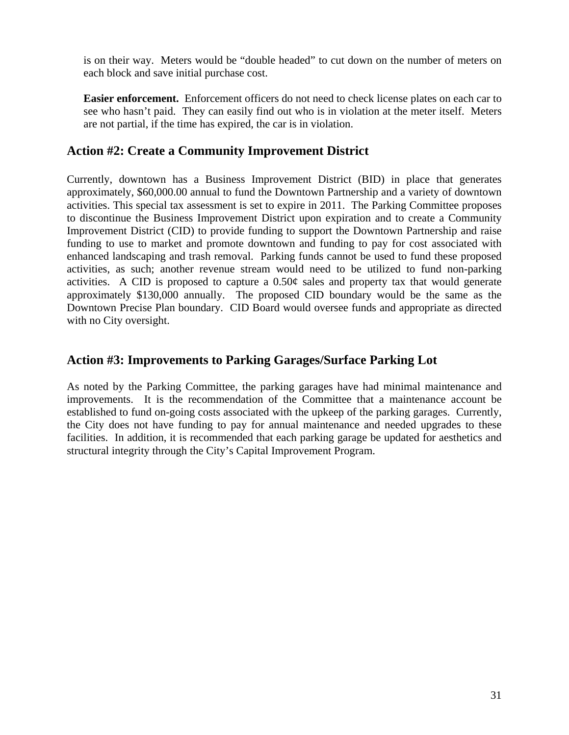is on their way. Meters would be "double headed" to cut down on the number of meters on each block and save initial purchase cost.

**Easier enforcement.** Enforcement officers do not need to check license plates on each car to see who hasn't paid. They can easily find out who is in violation at the meter itself. Meters are not partial, if the time has expired, the car is in violation.

#### **Action #2: Create a Community Improvement District**

Currently, downtown has a Business Improvement District (BID) in place that generates approximately, \$60,000.00 annual to fund the Downtown Partnership and a variety of downtown activities. This special tax assessment is set to expire in 2011. The Parking Committee proposes to discontinue the Business Improvement District upon expiration and to create a Community Improvement District (CID) to provide funding to support the Downtown Partnership and raise funding to use to market and promote downtown and funding to pay for cost associated with enhanced landscaping and trash removal. Parking funds cannot be used to fund these proposed activities, as such; another revenue stream would need to be utilized to fund non-parking activities. A CID is proposed to capture a 0.50¢ sales and property tax that would generate approximately \$130,000 annually. The proposed CID boundary would be the same as the Downtown Precise Plan boundary. CID Board would oversee funds and appropriate as directed with no City oversight.

#### **Action #3: Improvements to Parking Garages/Surface Parking Lot**

As noted by the Parking Committee, the parking garages have had minimal maintenance and improvements. It is the recommendation of the Committee that a maintenance account be established to fund on-going costs associated with the upkeep of the parking garages. Currently, the City does not have funding to pay for annual maintenance and needed upgrades to these facilities. In addition, it is recommended that each parking garage be updated for aesthetics and structural integrity through the City's Capital Improvement Program.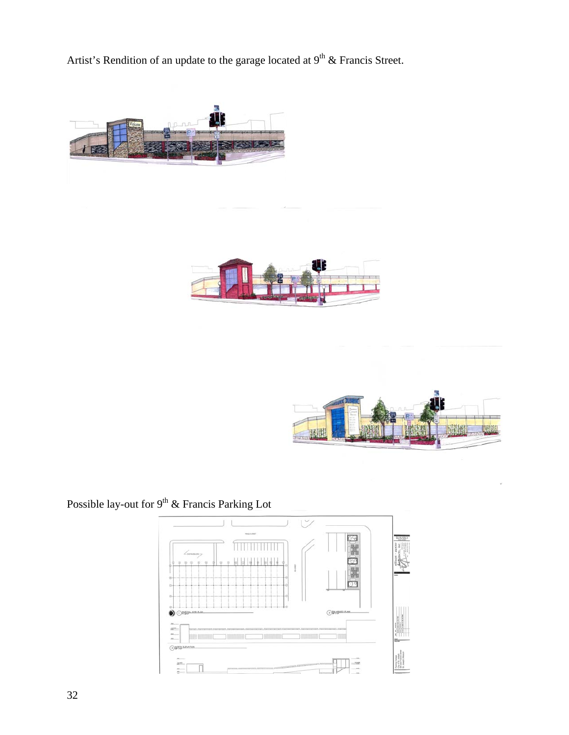Artist's Rendition of an update to the garage located at  $9<sup>th</sup>$  & Francis Street.







## Possible lay-out for  $9<sup>th</sup>$  & Francis Parking Lot

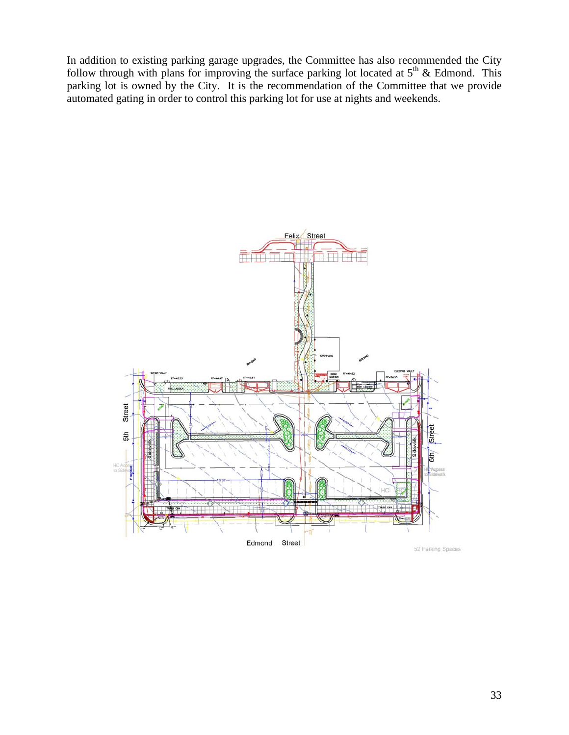In addition to existing parking garage upgrades, the Committee has also recommended the City follow through with plans for improving the surface parking lot located at  $5<sup>th</sup>$  & Edmond. This parking lot is owned by the City. It is the recommendation of the Committee that we provide automated gating in order to control this parking lot for use at nights and weekends.